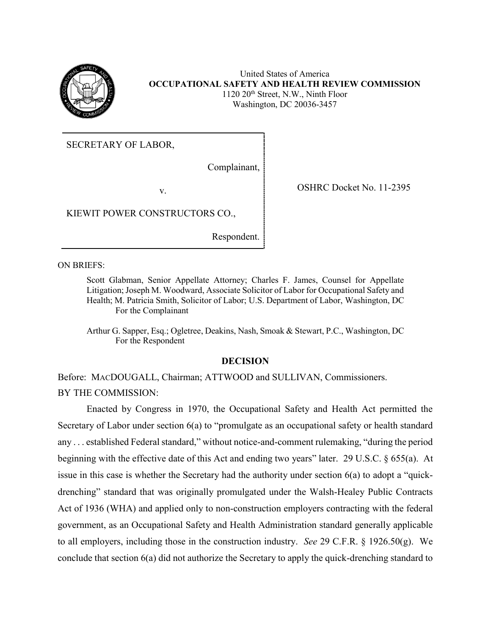

United States of America **OCCUPATIONAL SAFETY AND HEALTH REVIEW COMMISSION** 1120 20th Street, N.W., Ninth Floor Washington, DC 20036-3457

SECRETARY OF LABOR,

Complainant,

v. SHRC Docket No. 11-2395

KIEWIT POWER CONSTRUCTORS CO.,

Respondent.

ON BRIEFS:

Scott Glabman, Senior Appellate Attorney; Charles F. James, Counsel for Appellate Litigation; Joseph M. Woodward, Associate Solicitor of Labor for Occupational Safety and Health; M. Patricia Smith, Solicitor of Labor; U.S. Department of Labor, Washington, DC For the Complainant

Arthur G. Sapper, Esq.; Ogletree, Deakins, Nash, Smoak & Stewart, P.C., Washington, DC For the Respondent

## **DECISION**

Before: MACDOUGALL, Chairman; ATTWOOD and SULLIVAN, Commissioners. BY THE COMMISSION:

Enacted by Congress in 1970, the Occupational Safety and Health Act permitted the Secretary of Labor under section 6(a) to "promulgate as an occupational safety or health standard any . . . established Federal standard," without notice-and-comment rulemaking, "during the period beginning with the effective date of this Act and ending two years" later. 29 U.S.C. § 655(a). At issue in this case is whether the Secretary had the authority under section 6(a) to adopt a "quickdrenching" standard that was originally promulgated under the Walsh-Healey Public Contracts Act of 1936 (WHA) and applied only to non-construction employers contracting with the federal government, as an Occupational Safety and Health Administration standard generally applicable to all employers, including those in the construction industry. *See* 29 C.F.R. § 1926.50(g). We conclude that section 6(a) did not authorize the Secretary to apply the quick-drenching standard to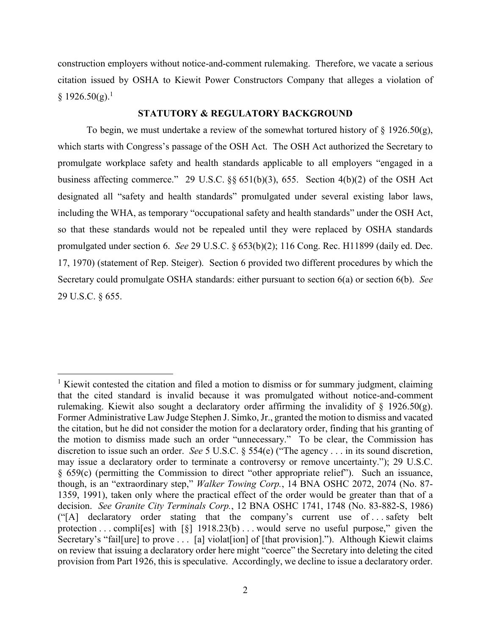construction employers without notice-and-comment rulemaking. Therefore, we vacate a serious citation issued by OSHA to Kiewit Power Constructors Company that alleges a violation of  $§$  1926.50(g).<sup>1</sup>

### **STATUTORY & REGULATORY BACKGROUND**

To begin, we must undertake a review of the somewhat tortured history of  $\S$  1926.50(g), which starts with Congress's passage of the OSH Act. The OSH Act authorized the Secretary to promulgate workplace safety and health standards applicable to all employers "engaged in a business affecting commerce." 29 U.S.C. §§ 651(b)(3), 655. Section 4(b)(2) of the OSH Act designated all "safety and health standards" promulgated under several existing labor laws, including the WHA, as temporary "occupational safety and health standards" under the OSH Act, so that these standards would not be repealed until they were replaced by OSHA standards promulgated under section 6. *See* 29 U.S.C. § 653(b)(2); 116 Cong. Rec. H11899 (daily ed. Dec. 17, 1970) (statement of Rep. Steiger). Section 6 provided two different procedures by which the Secretary could promulgate OSHA standards: either pursuant to section 6(a) or section 6(b). *See*  29 U.S.C. § 655.

 $\overline{a}$ 

<sup>&</sup>lt;sup>1</sup> Kiewit contested the citation and filed a motion to dismiss or for summary judgment, claiming that the cited standard is invalid because it was promulgated without notice-and-comment rulemaking. Kiewit also sought a declaratory order affirming the invalidity of  $\S$  1926.50(g). Former Administrative Law Judge Stephen J. Simko, Jr., granted the motion to dismiss and vacated the citation, but he did not consider the motion for a declaratory order, finding that his granting of the motion to dismiss made such an order "unnecessary." To be clear, the Commission has discretion to issue such an order. *See* 5 U.S.C. § 554(e) ("The agency . . . in its sound discretion, may issue a declaratory order to terminate a controversy or remove uncertainty."); 29 U.S.C. § 659(c) (permitting the Commission to direct "other appropriate relief"). Such an issuance, though, is an "extraordinary step," *Walker Towing Corp.*, 14 BNA OSHC 2072, 2074 (No. 87- 1359, 1991), taken only where the practical effect of the order would be greater than that of a decision. *See Granite City Terminals Corp.*, 12 BNA OSHC 1741, 1748 (No. 83-882-S, 1986) ("[A] declaratory order stating that the company's current use of . . . safety belt protection . . . complies with  $\lceil \xi \rceil$  1918.23(b) . . . would serve no useful purpose," given the Secretary's "fail [ure] to prove . . . [a] violat [ion] of [that provision]."). Although Kiewit claims on review that issuing a declaratory order here might "coerce" the Secretary into deleting the cited provision from Part 1926, this is speculative. Accordingly, we decline to issue a declaratory order.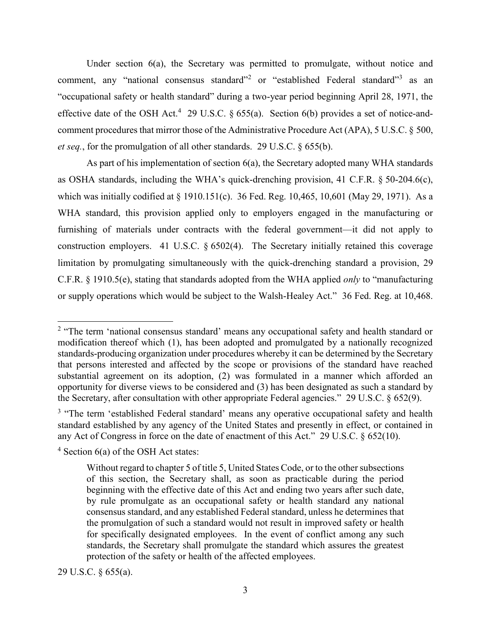Under section 6(a), the Secretary was permitted to promulgate, without notice and comment, any "national consensus standard"<sup>2</sup> or "established Federal standard"<sup>3</sup> as an "occupational safety or health standard" during a two-year period beginning April 28, 1971, the effective date of the OSH Act.<sup>4</sup> 29 U.S.C. § 655(a). Section 6(b) provides a set of notice-andcomment procedures that mirror those of the Administrative Procedure Act (APA), 5 U.S.C. § 500, *et seq.*, for the promulgation of all other standards. 29 U.S.C. § 655(b).

As part of his implementation of section 6(a), the Secretary adopted many WHA standards as OSHA standards, including the WHA's quick-drenching provision, 41 C.F.R. § 50-204.6(c), which was initially codified at § 1910.151(c). 36 Fed. Reg. 10,465, 10,601 (May 29, 1971). As a WHA standard, this provision applied only to employers engaged in the manufacturing or furnishing of materials under contracts with the federal government—it did not apply to construction employers. 41 U.S.C. § 6502(4). The Secretary initially retained this coverage limitation by promulgating simultaneously with the quick-drenching standard a provision, 29 C.F.R. § 1910.5(e), stating that standards adopted from the WHA applied *only* to "manufacturing or supply operations which would be subject to the Walsh-Healey Act." 36 Fed. Reg. at 10,468.

29 U.S.C. § 655(a).

<sup>&</sup>lt;sup>2</sup> "The term 'national consensus standard' means any occupational safety and health standard or modification thereof which (1), has been adopted and promulgated by a nationally recognized standards-producing organization under procedures whereby it can be determined by the Secretary that persons interested and affected by the scope or provisions of the standard have reached substantial agreement on its adoption, (2) was formulated in a manner which afforded an opportunity for diverse views to be considered and (3) has been designated as such a standard by the Secretary, after consultation with other appropriate Federal agencies." 29 U.S.C. § 652(9).

<sup>&</sup>lt;sup>3</sup> "The term 'established Federal standard' means any operative occupational safety and health standard established by any agency of the United States and presently in effect, or contained in any Act of Congress in force on the date of enactment of this Act." 29 U.S.C. § 652(10).

 $4$  Section 6(a) of the OSH Act states:

Without regard to chapter 5 of title 5, United States Code, or to the other subsections of this section, the Secretary shall, as soon as practicable during the period beginning with the effective date of this Act and ending two years after such date, by rule promulgate as an occupational safety or health standard any national consensus standard, and any established Federal standard, unless he determines that the promulgation of such a standard would not result in improved safety or health for specifically designated employees. In the event of conflict among any such standards, the Secretary shall promulgate the standard which assures the greatest protection of the safety or health of the affected employees.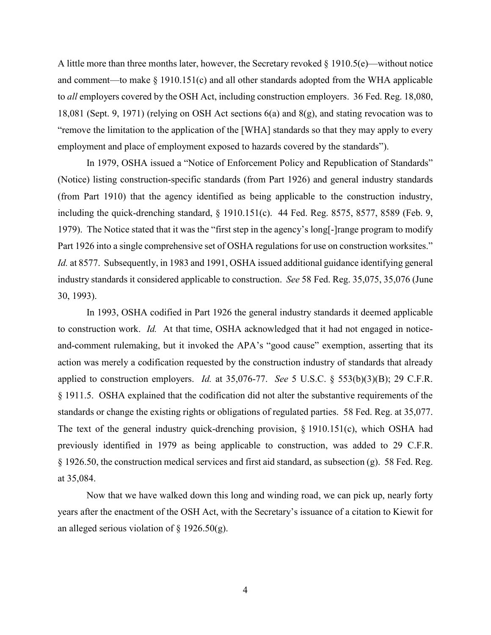A little more than three months later, however, the Secretary revoked § 1910.5(e)—without notice and comment—to make  $\S$  1910.151(c) and all other standards adopted from the WHA applicable to *all* employers covered by the OSH Act, including construction employers. 36 Fed. Reg. 18,080, 18,081 (Sept. 9, 1971) (relying on OSH Act sections 6(a) and 8(g), and stating revocation was to "remove the limitation to the application of the [WHA] standards so that they may apply to every employment and place of employment exposed to hazards covered by the standards").

In 1979, OSHA issued a "Notice of Enforcement Policy and Republication of Standards" (Notice) listing construction-specific standards (from Part 1926) and general industry standards (from Part 1910) that the agency identified as being applicable to the construction industry, including the quick-drenching standard, § 1910.151(c).44 Fed. Reg. 8575, 8577, 8589 (Feb. 9, 1979). The Notice stated that it was the "first step in the agency's long[-]range program to modify Part 1926 into a single comprehensive set of OSHA regulations for use on construction worksites." *Id.* at 8577. Subsequently, in 1983 and 1991, OSHA issued additional guidance identifying general industry standards it considered applicable to construction. *See* 58 Fed. Reg. 35,075, 35,076 (June 30, 1993).

In 1993, OSHA codified in Part 1926 the general industry standards it deemed applicable to construction work. *Id.* At that time, OSHA acknowledged that it had not engaged in noticeand-comment rulemaking, but it invoked the APA's "good cause" exemption, asserting that its action was merely a codification requested by the construction industry of standards that already applied to construction employers. *Id.* at 35,076-77. *See* 5 U.S.C. § 553(b)(3)(B); 29 C.F.R. § 1911.5. OSHA explained that the codification did not alter the substantive requirements of the standards or change the existing rights or obligations of regulated parties. 58 Fed. Reg. at 35,077. The text of the general industry quick-drenching provision,  $\S$  1910.151(c), which OSHA had previously identified in 1979 as being applicable to construction, was added to 29 C.F.R. § 1926.50, the construction medical services and first aid standard, as subsection (g). 58 Fed. Reg. at 35,084.

Now that we have walked down this long and winding road, we can pick up, nearly forty years after the enactment of the OSH Act, with the Secretary's issuance of a citation to Kiewit for an alleged serious violation of  $\S$  1926.50(g).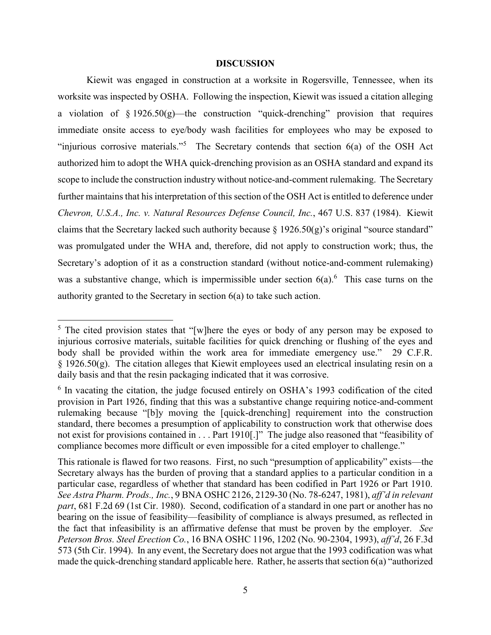### **DISCUSSION**

Kiewit was engaged in construction at a worksite in Rogersville, Tennessee, when its worksite was inspected by OSHA. Following the inspection, Kiewit was issued a citation alleging a violation of  $\S 1926.50(g)$ —the construction "quick-drenching" provision that requires immediate onsite access to eye/body wash facilities for employees who may be exposed to "injurious corrosive materials."<sup>5</sup> The Secretary contends that section  $6(a)$  of the OSH Act authorized him to adopt the WHA quick-drenching provision as an OSHA standard and expand its scope to include the construction industry without notice-and-comment rulemaking. The Secretary further maintains that his interpretation of this section of the OSH Act is entitled to deference under *Chevron, U.S.A., Inc. v. Natural Resources Defense Council, Inc.*, 467 U.S. 837 (1984). Kiewit claims that the Secretary lacked such authority because  $\S 1926.50(g)$ 's original "source standard" was promulgated under the WHA and, therefore, did not apply to construction work; thus, the Secretary's adoption of it as a construction standard (without notice-and-comment rulemaking) was a substantive change, which is impermissible under section  $6(a)$ . This case turns on the authority granted to the Secretary in section 6(a) to take such action.

 $5$  The cited provision states that "[w]here the eyes or body of any person may be exposed to injurious corrosive materials, suitable facilities for quick drenching or flushing of the eyes and body shall be provided within the work area for immediate emergency use." 29 C.F.R.  $\S$  1926.50(g). The citation alleges that Kiewit employees used an electrical insulating resin on a daily basis and that the resin packaging indicated that it was corrosive.

<sup>&</sup>lt;sup>6</sup> In vacating the citation, the judge focused entirely on OSHA's 1993 codification of the cited provision in Part 1926, finding that this was a substantive change requiring notice-and-comment rulemaking because "[b]y moving the [quick-drenching] requirement into the construction standard, there becomes a presumption of applicability to construction work that otherwise does not exist for provisions contained in . . . Part 1910[.]" The judge also reasoned that "feasibility of compliance becomes more difficult or even impossible for a cited employer to challenge."

This rationale is flawed for two reasons. First, no such "presumption of applicability" exists—the Secretary always has the burden of proving that a standard applies to a particular condition in a particular case, regardless of whether that standard has been codified in Part 1926 or Part 1910. *See Astra Pharm. Prods., Inc.*, 9 BNA OSHC 2126, 2129-30 (No. 78-6247, 1981), *aff'd in relevant part*, 681 F.2d 69 (1st Cir. 1980). Second, codification of a standard in one part or another has no bearing on the issue of feasibility—feasibility of compliance is always presumed, as reflected in the fact that infeasibility is an affirmative defense that must be proven by the employer. *See Peterson Bros. Steel Erection Co.*, 16 BNA OSHC 1196, 1202 (No. 90-2304, 1993), *aff'd*, 26 F.3d 573 (5th Cir. 1994). In any event, the Secretary does not argue that the 1993 codification was what made the quick-drenching standard applicable here. Rather, he asserts that section 6(a) "authorized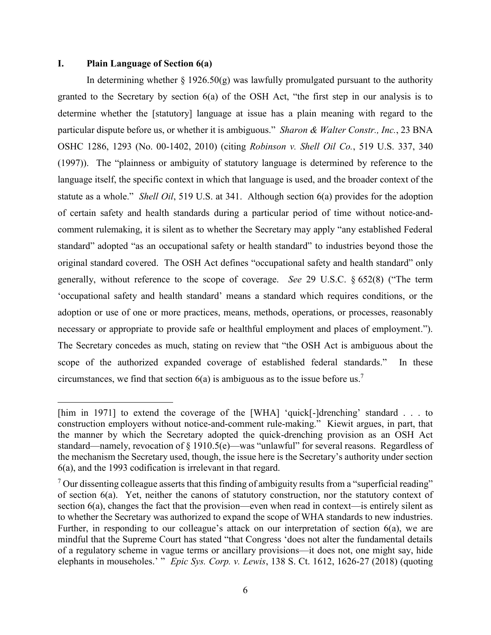### **I. Plain Language of Section 6(a)**

 $\overline{\phantom{a}}$ 

In determining whether  $\S$  1926.50(g) was lawfully promulgated pursuant to the authority granted to the Secretary by section 6(a) of the OSH Act, "the first step in our analysis is to determine whether the [statutory] language at issue has a plain meaning with regard to the particular dispute before us, or whether it is ambiguous." *Sharon & Walter Constr., Inc.*, 23 BNA OSHC 1286, 1293 (No. 00-1402, 2010) (citing *Robinson v. Shell Oil Co.*, 519 U.S. 337, 340 (1997)). The "plainness or ambiguity of statutory language is determined by reference to the language itself, the specific context in which that language is used, and the broader context of the statute as a whole." *Shell Oil*, 519 U.S. at 341. Although section 6(a) provides for the adoption of certain safety and health standards during a particular period of time without notice-andcomment rulemaking, it is silent as to whether the Secretary may apply "any established Federal standard" adopted "as an occupational safety or health standard" to industries beyond those the original standard covered. The OSH Act defines "occupational safety and health standard" only generally, without reference to the scope of coverage. *See* 29 U.S.C. § 652(8) ("The term 'occupational safety and health standard' means a standard which requires conditions, or the adoption or use of one or more practices, means, methods, operations, or processes, reasonably necessary or appropriate to provide safe or healthful employment and places of employment."). The Secretary concedes as much, stating on review that "the OSH Act is ambiguous about the scope of the authorized expanded coverage of established federal standards." In these circumstances, we find that section  $6(a)$  is ambiguous as to the issue before us.<sup>7</sup>

<sup>[</sup>him in 1971] to extend the coverage of the [WHA] 'quick[-]drenching' standard . . . to construction employers without notice-and-comment rule-making." Kiewit argues, in part, that the manner by which the Secretary adopted the quick-drenching provision as an OSH Act standard—namely, revocation of § 1910.5(e)—was "unlawful" for several reasons. Regardless of the mechanism the Secretary used, though, the issue here is the Secretary's authority under section 6(a), and the 1993 codification is irrelevant in that regard.

 $7$  Our dissenting colleague asserts that this finding of ambiguity results from a "superficial reading" of section 6(a). Yet, neither the canons of statutory construction, nor the statutory context of section 6(a), changes the fact that the provision—even when read in context—is entirely silent as to whether the Secretary was authorized to expand the scope of WHA standards to new industries. Further, in responding to our colleague's attack on our interpretation of section 6(a), we are mindful that the Supreme Court has stated "that Congress 'does not alter the fundamental details of a regulatory scheme in vague terms or ancillary provisions—it does not, one might say, hide elephants in mouseholes.' " *Epic Sys. Corp. v. Lewis*, 138 S. Ct. 1612, 1626-27 (2018) (quoting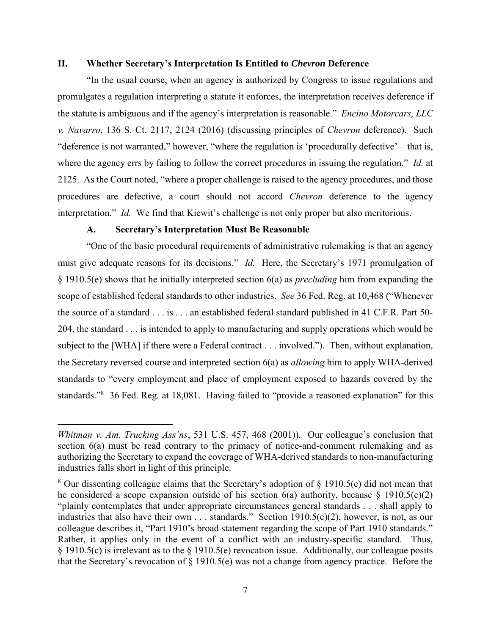### **II. Whether Secretary's Interpretation Is Entitled to** *Chevron* **Deference**

"In the usual course, when an agency is authorized by Congress to issue regulations and promulgates a regulation interpreting a statute it enforces, the interpretation receives deference if the statute is ambiguous and if the agency's interpretation is reasonable." *Encino Motorcars, LLC v. Navarro*, 136 S. Ct. 2117, 2124 (2016) (discussing principles of *Chevron* deference). Such "deference is not warranted," however, "where the regulation is 'procedurally defective'—that is, where the agency errs by failing to follow the correct procedures in issuing the regulation." *Id.* at 2125. As the Court noted, "where a proper challenge is raised to the agency procedures, and those procedures are defective, a court should not accord *Chevron* deference to the agency interpretation." *Id.* We find that Kiewit's challenge is not only proper but also meritorious.

## **A. Secretary's Interpretation Must Be Reasonable**

 $\overline{a}$ 

"One of the basic procedural requirements of administrative rulemaking is that an agency must give adequate reasons for its decisions." *Id.* Here, the Secretary's 1971 promulgation of § 1910.5(e) shows that he initially interpreted section 6(a) as *precluding* him from expanding the scope of established federal standards to other industries. *See* 36 Fed. Reg. at 10,468 ("Whenever the source of a standard . . . is . . . an established federal standard published in 41 C.F.R. Part 50- 204, the standard . . . is intended to apply to manufacturing and supply operations which would be subject to the [WHA] if there were a Federal contract . . . involved."). Then, without explanation, the Secretary reversed course and interpreted section 6(a) as *allowing* him to apply WHA-derived standards to "every employment and place of employment exposed to hazards covered by the standards."<sup>8</sup> 36 Fed. Reg. at 18,081. Having failed to "provide a reasoned explanation" for this

*Whitman v. Am. Trucking Ass'ns*, 531 U.S. 457, 468 (2001)). Our colleague's conclusion that section 6(a) must be read contrary to the primacy of notice-and-comment rulemaking and as authorizing the Secretary to expand the coverage of WHA-derived standards to non-manufacturing industries falls short in light of this principle.

<sup>&</sup>lt;sup>8</sup> Our dissenting colleague claims that the Secretary's adoption of  $\S$  1910.5(e) did not mean that he considered a scope expansion outside of his section  $6(a)$  authority, because  $§$  1910.5(c)(2) "plainly contemplates that under appropriate circumstances general standards . . . shall apply to industries that also have their own . . . standards." Section 1910.5(c)(2), however, is not, as our colleague describes it, "Part 1910's broad statement regarding the scope of Part 1910 standards." Rather, it applies only in the event of a conflict with an industry-specific standard. Thus, § 1910.5(c) is irrelevant as to the § 1910.5(e) revocation issue. Additionally, our colleague posits that the Secretary's revocation of  $\S$  1910.5(e) was not a change from agency practice. Before the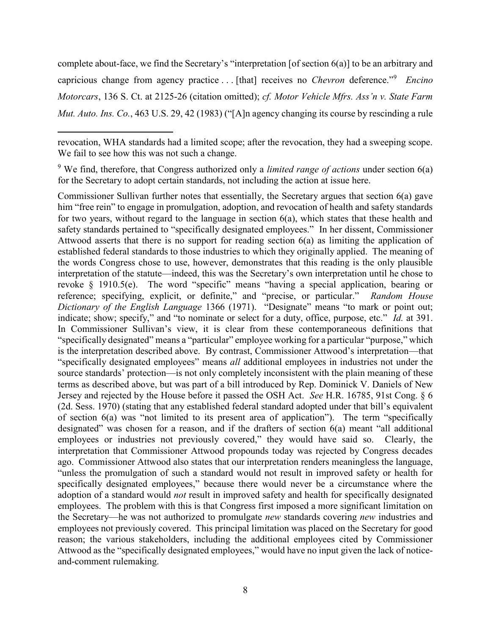complete about-face, we find the Secretary's "interpretation [of section 6(a)] to be an arbitrary and capricious change from agency practice . . . [that] receives no *Chevron* deference."<sup>9</sup> *Encino Motorcars*, 136 S. Ct. at 2125-26 (citation omitted); *cf. Motor Vehicle Mfrs. Ass'n v. State Farm Mut. Auto. Ins. Co.*, 463 U.S. 29, 42 (1983) ("[A]n agency changing its course by rescinding a rule

 $\overline{a}$ 

<sup>9</sup> We find, therefore, that Congress authorized only a *limited range of actions* under section 6(a) for the Secretary to adopt certain standards, not including the action at issue here.

Commissioner Sullivan further notes that essentially, the Secretary argues that section 6(a) gave him "free rein" to engage in promulgation, adoption, and revocation of health and safety standards for two years, without regard to the language in section 6(a), which states that these health and safety standards pertained to "specifically designated employees." In her dissent, Commissioner Attwood asserts that there is no support for reading section 6(a) as limiting the application of established federal standards to those industries to which they originally applied. The meaning of the words Congress chose to use, however, demonstrates that this reading is the only plausible interpretation of the statute—indeed, this was the Secretary's own interpretation until he chose to revoke § 1910.5(e). The word "specific" means "having a special application, bearing or reference; specifying, explicit, or definite," and "precise, or particular." *Random House Dictionary of the English Language* 1366 (1971). "Designate" means "to mark or point out; indicate; show; specify," and "to nominate or select for a duty, office, purpose, etc." *Id.* at 391. In Commissioner Sullivan's view, it is clear from these contemporaneous definitions that "specifically designated" means a "particular" employee working for a particular "purpose," which is the interpretation described above. By contrast, Commissioner Attwood's interpretation—that "specifically designated employees" means *all* additional employees in industries not under the source standards' protection—is not only completely inconsistent with the plain meaning of these terms as described above, but was part of a bill introduced by Rep. Dominick V. Daniels of New Jersey and rejected by the House before it passed the OSH Act. *See* H.R. 16785, 91st Cong. § 6 (2d. Sess. 1970) (stating that any established federal standard adopted under that bill's equivalent of section 6(a) was "not limited to its present area of application"). The term "specifically designated" was chosen for a reason, and if the drafters of section 6(a) meant "all additional employees or industries not previously covered," they would have said so. Clearly, the interpretation that Commissioner Attwood propounds today was rejected by Congress decades ago. Commissioner Attwood also states that our interpretation renders meaningless the language, "unless the promulgation of such a standard would not result in improved safety or health for specifically designated employees," because there would never be a circumstance where the adoption of a standard would *not* result in improved safety and health for specifically designated employees. The problem with this is that Congress first imposed a more significant limitation on the Secretary—he was not authorized to promulgate *new* standards covering *new* industries and employees not previously covered. This principal limitation was placed on the Secretary for good reason; the various stakeholders, including the additional employees cited by Commissioner Attwood as the "specifically designated employees," would have no input given the lack of noticeand-comment rulemaking.

revocation, WHA standards had a limited scope; after the revocation, they had a sweeping scope. We fail to see how this was not such a change.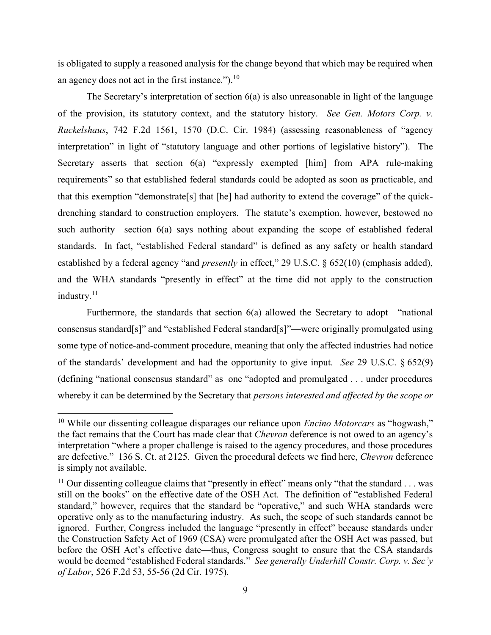is obligated to supply a reasoned analysis for the change beyond that which may be required when an agency does not act in the first instance.").  $^{10}$ 

The Secretary's interpretation of section 6(a) is also unreasonable in light of the language of the provision, its statutory context, and the statutory history. *See Gen. Motors Corp. v. Ruckelshaus*, 742 F.2d 1561, 1570 (D.C. Cir. 1984) (assessing reasonableness of "agency interpretation" in light of "statutory language and other portions of legislative history"). The Secretary asserts that section 6(a) "expressly exempted [him] from APA rule-making requirements" so that established federal standards could be adopted as soon as practicable, and that this exemption "demonstrate[s] that [he] had authority to extend the coverage" of the quickdrenching standard to construction employers. The statute's exemption, however, bestowed no such authority—section 6(a) says nothing about expanding the scope of established federal standards. In fact, "established Federal standard" is defined as any safety or health standard established by a federal agency "and *presently* in effect," 29 U.S.C. § 652(10) (emphasis added), and the WHA standards "presently in effect" at the time did not apply to the construction industry.<sup>11</sup>

Furthermore, the standards that section 6(a) allowed the Secretary to adopt—"national consensus standard[s]" and "established Federal standard[s]"—were originally promulgated using some type of notice-and-comment procedure, meaning that only the affected industries had notice of the standards' development and had the opportunity to give input. *See* 29 U.S.C. § 652(9) (defining "national consensus standard" as one "adopted and promulgated . . . under procedures whereby it can be determined by the Secretary that *persons interested and affected by the scope or* 

l

<sup>&</sup>lt;sup>10</sup> While our dissenting colleague disparages our reliance upon *Encino Motorcars* as "hogwash," the fact remains that the Court has made clear that *Chevron* deference is not owed to an agency's interpretation "where a proper challenge is raised to the agency procedures, and those procedures are defective." 136 S. Ct. at 2125. Given the procedural defects we find here, *Chevron* deference is simply not available.

<sup>&</sup>lt;sup>11</sup> Our dissenting colleague claims that "presently in effect" means only "that the standard  $\dots$  was still on the books" on the effective date of the OSH Act. The definition of "established Federal standard," however, requires that the standard be "operative," and such WHA standards were operative only as to the manufacturing industry. As such, the scope of such standards cannot be ignored. Further, Congress included the language "presently in effect" because standards under the Construction Safety Act of 1969 (CSA) were promulgated after the OSH Act was passed, but before the OSH Act's effective date—thus, Congress sought to ensure that the CSA standards would be deemed "established Federal standards." *See generally Underhill Constr. Corp. v. Sec'y of Labor*, 526 F.2d 53, 55-56 (2d Cir. 1975).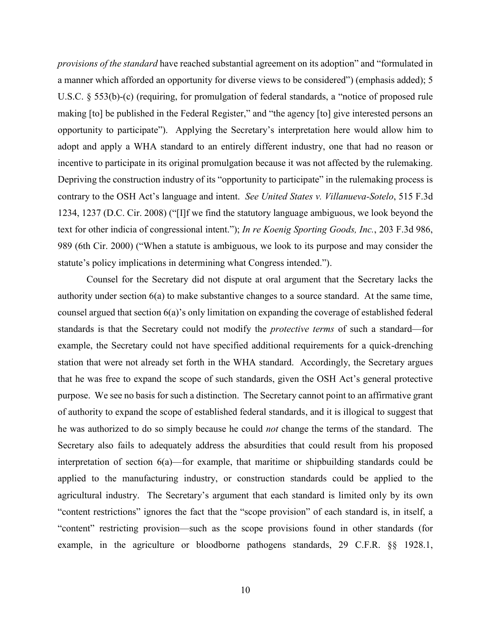*provisions of the standard* have reached substantial agreement on its adoption" and "formulated in a manner which afforded an opportunity for diverse views to be considered") (emphasis added); 5 U.S.C. § 553(b)-(c) (requiring, for promulgation of federal standards, a "notice of proposed rule making [to] be published in the Federal Register," and "the agency [to] give interested persons an opportunity to participate"). Applying the Secretary's interpretation here would allow him to adopt and apply a WHA standard to an entirely different industry, one that had no reason or incentive to participate in its original promulgation because it was not affected by the rulemaking. Depriving the construction industry of its "opportunity to participate" in the rulemaking process is contrary to the OSH Act's language and intent. *See United States v. Villanueva-Sotelo*, 515 F.3d 1234, 1237 (D.C. Cir. 2008) ("[I]f we find the statutory language ambiguous, we look beyond the text for other indicia of congressional intent."); *In re Koenig Sporting Goods, Inc.*, 203 F.3d 986, 989 (6th Cir. 2000) ("When a statute is ambiguous, we look to its purpose and may consider the statute's policy implications in determining what Congress intended.").

Counsel for the Secretary did not dispute at oral argument that the Secretary lacks the authority under section 6(a) to make substantive changes to a source standard. At the same time, counsel argued that section 6(a)'s only limitation on expanding the coverage of established federal standards is that the Secretary could not modify the *protective terms* of such a standard—for example, the Secretary could not have specified additional requirements for a quick-drenching station that were not already set forth in the WHA standard. Accordingly, the Secretary argues that he was free to expand the scope of such standards, given the OSH Act's general protective purpose. We see no basis for such a distinction. The Secretary cannot point to an affirmative grant of authority to expand the scope of established federal standards, and it is illogical to suggest that he was authorized to do so simply because he could *not* change the terms of the standard. The Secretary also fails to adequately address the absurdities that could result from his proposed interpretation of section 6(a)—for example, that maritime or shipbuilding standards could be applied to the manufacturing industry, or construction standards could be applied to the agricultural industry. The Secretary's argument that each standard is limited only by its own "content restrictions" ignores the fact that the "scope provision" of each standard is, in itself, a "content" restricting provision—such as the scope provisions found in other standards (for example, in the agriculture or bloodborne pathogens standards, 29 C.F.R. §§ 1928.1,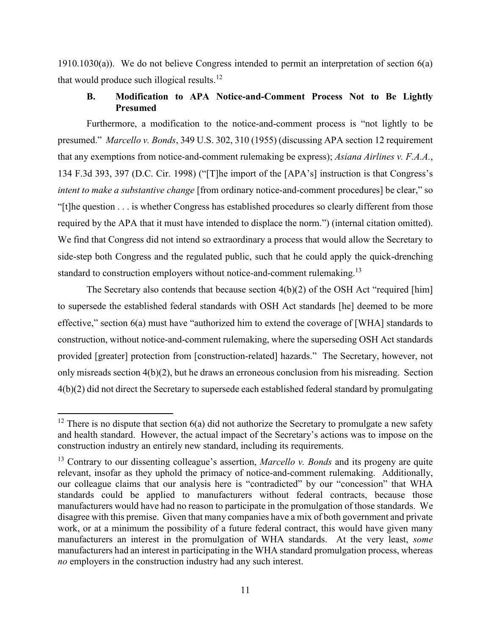$1910.1030(a)$ ). We do not believe Congress intended to permit an interpretation of section  $6(a)$ that would produce such illogical results.<sup>12</sup>

## **B. Modification to APA Notice-and-Comment Process Not to Be Lightly Presumed**

Furthermore, a modification to the notice-and-comment process is "not lightly to be presumed." *Marcello v. Bonds*, 349 U.S. 302, 310 (1955) (discussing APA section 12 requirement that any exemptions from notice-and-comment rulemaking be express); *Asiana Airlines v. F.A.A.*, 134 F.3d 393, 397 (D.C. Cir. 1998) ("[T]he import of the [APA's] instruction is that Congress's *intent to make a substantive change* [from ordinary notice-and-comment procedures] be clear," so "[t]he question . . . is whether Congress has established procedures so clearly different from those required by the APA that it must have intended to displace the norm.") (internal citation omitted). We find that Congress did not intend so extraordinary a process that would allow the Secretary to side-step both Congress and the regulated public, such that he could apply the quick-drenching standard to construction employers without notice-and-comment rulemaking.<sup>13</sup>

The Secretary also contends that because section  $4(b)(2)$  of the OSH Act "required [him] to supersede the established federal standards with OSH Act standards [he] deemed to be more effective," section 6(a) must have "authorized him to extend the coverage of [WHA] standards to construction, without notice-and-comment rulemaking, where the superseding OSH Act standards provided [greater] protection from [construction-related] hazards." The Secretary, however, not only misreads section 4(b)(2), but he draws an erroneous conclusion from his misreading. Section 4(b)(2) did not direct the Secretary to supersede each established federal standard by promulgating

l

<sup>&</sup>lt;sup>12</sup> There is no dispute that section  $6(a)$  did not authorize the Secretary to promulgate a new safety and health standard. However, the actual impact of the Secretary's actions was to impose on the construction industry an entirely new standard, including its requirements.

<sup>13</sup> Contrary to our dissenting colleague's assertion, *Marcello v. Bonds* and its progeny are quite relevant, insofar as they uphold the primacy of notice-and-comment rulemaking. Additionally, our colleague claims that our analysis here is "contradicted" by our "concession" that WHA standards could be applied to manufacturers without federal contracts, because those manufacturers would have had no reason to participate in the promulgation of those standards. We disagree with this premise. Given that many companies have a mix of both government and private work, or at a minimum the possibility of a future federal contract, this would have given many manufacturers an interest in the promulgation of WHA standards. At the very least, *some* manufacturers had an interest in participating in the WHA standard promulgation process, whereas *no* employers in the construction industry had any such interest.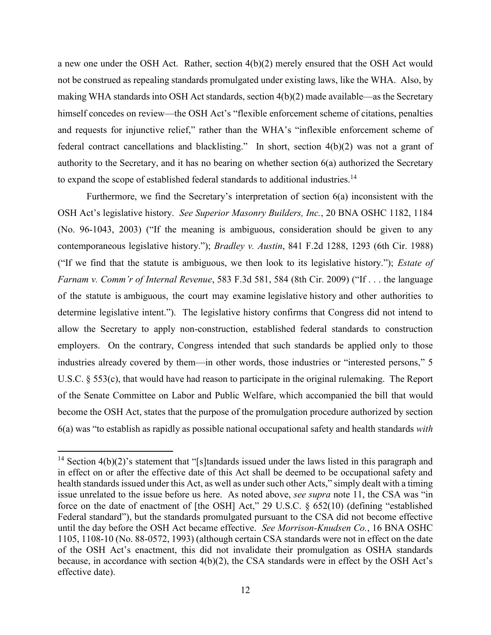a new one under the OSH Act. Rather, section 4(b)(2) merely ensured that the OSH Act would not be construed as repealing standards promulgated under existing laws, like the WHA. Also, by making WHA standards into OSH Act standards, section 4(b)(2) made available—as the Secretary himself concedes on review—the OSH Act's "flexible enforcement scheme of citations, penalties and requests for injunctive relief," rather than the WHA's "inflexible enforcement scheme of federal contract cancellations and blacklisting." In short, section 4(b)(2) was not a grant of authority to the Secretary, and it has no bearing on whether section 6(a) authorized the Secretary to expand the scope of established federal standards to additional industries.<sup>14</sup>

Furthermore, we find the Secretary's interpretation of section 6(a) inconsistent with the OSH Act's legislative history. *See Superior Masonry Builders, Inc.*, 20 BNA OSHC 1182, 1184 (No. 96-1043, 2003) ("If the meaning is ambiguous, consideration should be given to any contemporaneous legislative history."); *Bradley v. Austin*, 841 F.2d 1288, 1293 (6th Cir. 1988) ("If we find that the statute is ambiguous, we then look to its legislative history."); *Estate of Farnam v. Comm'r of Internal Revenue*, 583 F.3d 581, 584 (8th Cir. 2009) ("If . . . the language of the statute is ambiguous, the court may examine legislative history and other authorities to determine legislative intent."). The legislative history confirms that Congress did not intend to allow the Secretary to apply non-construction, established federal standards to construction employers. On the contrary, Congress intended that such standards be applied only to those industries already covered by them—in other words, those industries or "interested persons," 5 U.S.C. § 553(c), that would have had reason to participate in the original rulemaking. The Report of the Senate Committee on Labor and Public Welfare, which accompanied the bill that would become the OSH Act, states that the purpose of the promulgation procedure authorized by section 6(a) was "to establish as rapidly as possible national occupational safety and health standards *with* 

<sup>&</sup>lt;sup>14</sup> Section 4(b)(2)'s statement that "[s]tandards issued under the laws listed in this paragraph and in effect on or after the effective date of this Act shall be deemed to be occupational safety and health standards issued under this Act, as well as under such other Acts," simply dealt with a timing issue unrelated to the issue before us here. As noted above, *see supra* note 11, the CSA was "in force on the date of enactment of [the OSH] Act," 29 U.S.C. § 652(10) (defining "established Federal standard"), but the standards promulgated pursuant to the CSA did not become effective until the day before the OSH Act became effective. *See Morrison-Knudsen Co.*, 16 BNA OSHC 1105, 1108-10 (No. 88-0572, 1993) (although certain CSA standards were not in effect on the date of the OSH Act's enactment, this did not invalidate their promulgation as OSHA standards because, in accordance with section 4(b)(2), the CSA standards were in effect by the OSH Act's effective date).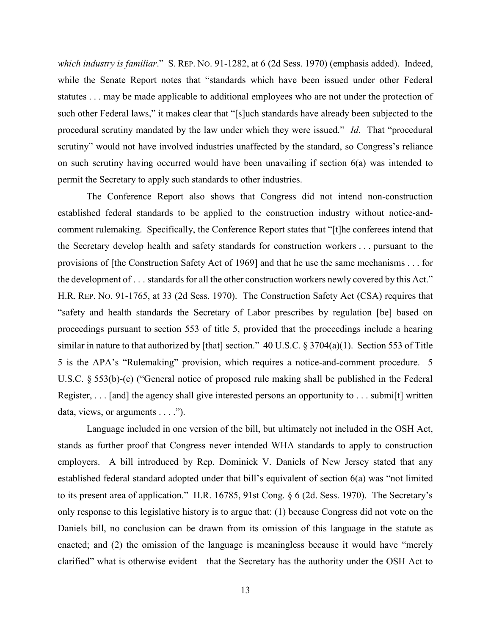*which industry is familiar*." S. REP. NO. 91-1282, at 6 (2d Sess. 1970) (emphasis added). Indeed, while the Senate Report notes that "standards which have been issued under other Federal statutes . . . may be made applicable to additional employees who are not under the protection of such other Federal laws," it makes clear that "[s]uch standards have already been subjected to the procedural scrutiny mandated by the law under which they were issued." *Id.* That "procedural scrutiny" would not have involved industries unaffected by the standard, so Congress's reliance on such scrutiny having occurred would have been unavailing if section 6(a) was intended to permit the Secretary to apply such standards to other industries.

The Conference Report also shows that Congress did not intend non-construction established federal standards to be applied to the construction industry without notice-andcomment rulemaking. Specifically, the Conference Report states that "[t]he conferees intend that the Secretary develop health and safety standards for construction workers . . . pursuant to the provisions of [the Construction Safety Act of 1969] and that he use the same mechanisms . . . for the development of . . . standards for all the other construction workers newly covered by this Act." H.R. REP. NO. 91-1765, at 33 (2d Sess. 1970). The Construction Safety Act (CSA) requires that "safety and health standards the Secretary of Labor prescribes by regulation [be] based on proceedings pursuant to section 553 of title 5, provided that the proceedings include a hearing similar in nature to that authorized by [that] section." 40 U.S.C. § 3704(a)(1). Section 553 of Title 5 is the APA's "Rulemaking" provision, which requires a notice-and-comment procedure. 5 U.S.C. § 553(b)-(c) ("General notice of proposed rule making shall be published in the Federal Register, . . . [and] the agency shall give interested persons an opportunity to . . . submi[t] written data, views, or arguments . . . .").

Language included in one version of the bill, but ultimately not included in the OSH Act, stands as further proof that Congress never intended WHA standards to apply to construction employers. A bill introduced by Rep. Dominick V. Daniels of New Jersey stated that any established federal standard adopted under that bill's equivalent of section 6(a) was "not limited to its present area of application." H.R. 16785, 91st Cong. § 6 (2d. Sess. 1970). The Secretary's only response to this legislative history is to argue that: (1) because Congress did not vote on the Daniels bill, no conclusion can be drawn from its omission of this language in the statute as enacted; and (2) the omission of the language is meaningless because it would have "merely clarified" what is otherwise evident—that the Secretary has the authority under the OSH Act to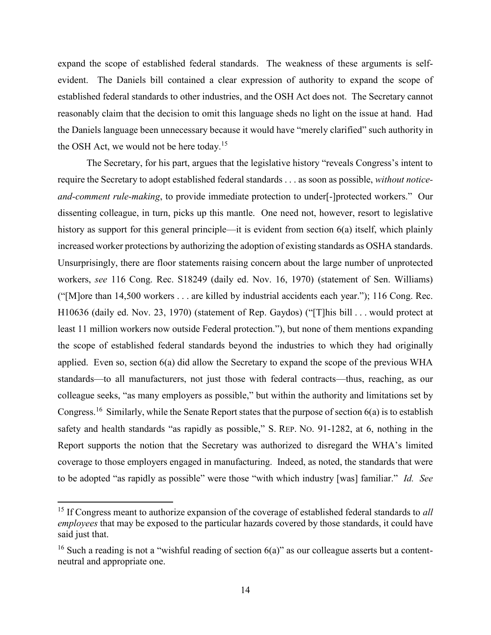expand the scope of established federal standards. The weakness of these arguments is selfevident. The Daniels bill contained a clear expression of authority to expand the scope of established federal standards to other industries, and the OSH Act does not. The Secretary cannot reasonably claim that the decision to omit this language sheds no light on the issue at hand. Had the Daniels language been unnecessary because it would have "merely clarified" such authority in the OSH Act, we would not be here today.<sup>15</sup>

The Secretary, for his part, argues that the legislative history "reveals Congress's intent to require the Secretary to adopt established federal standards . . . as soon as possible, *without noticeand-comment rule-making*, to provide immediate protection to under[-]protected workers." Our dissenting colleague, in turn, picks up this mantle. One need not, however, resort to legislative history as support for this general principle—it is evident from section 6(a) itself, which plainly increased worker protections by authorizing the adoption of existing standards as OSHA standards. Unsurprisingly, there are floor statements raising concern about the large number of unprotected workers, *see* 116 Cong. Rec. S18249 (daily ed. Nov. 16, 1970) (statement of Sen. Williams) ("[M]ore than 14,500 workers . . . are killed by industrial accidents each year."); 116 Cong. Rec. H10636 (daily ed. Nov. 23, 1970) (statement of Rep. Gaydos) ("[T]his bill . . . would protect at least 11 million workers now outside Federal protection."), but none of them mentions expanding the scope of established federal standards beyond the industries to which they had originally applied. Even so, section 6(a) did allow the Secretary to expand the scope of the previous WHA standards—to all manufacturers, not just those with federal contracts—thus, reaching, as our colleague seeks, "as many employers as possible," but within the authority and limitations set by Congress.<sup>16</sup> Similarly, while the Senate Report states that the purpose of section 6(a) is to establish safety and health standards "as rapidly as possible," S. REP. NO. 91-1282, at 6, nothing in the Report supports the notion that the Secretary was authorized to disregard the WHA's limited coverage to those employers engaged in manufacturing. Indeed, as noted, the standards that were to be adopted "as rapidly as possible" were those "with which industry [was] familiar." *Id. See* 

<sup>15</sup> If Congress meant to authorize expansion of the coverage of established federal standards to *all employees* that may be exposed to the particular hazards covered by those standards, it could have said just that.

<sup>&</sup>lt;sup>16</sup> Such a reading is not a "wishful reading of section  $6(a)$ " as our colleague asserts but a contentneutral and appropriate one.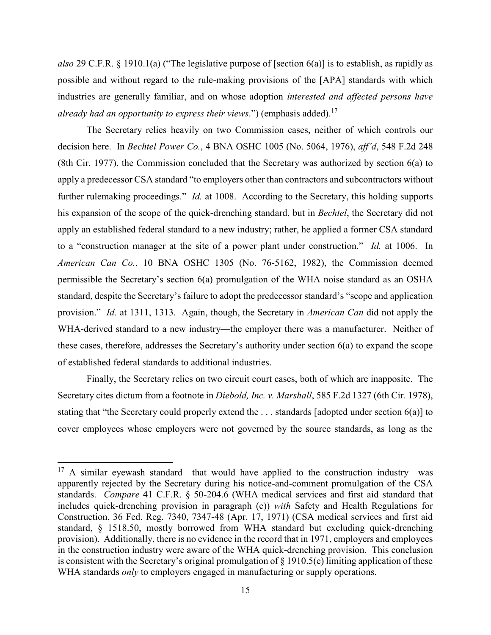*also* 29 C.F.R. § 1910.1(a) ("The legislative purpose of [section 6(a)] is to establish, as rapidly as possible and without regard to the rule-making provisions of the [APA] standards with which industries are generally familiar, and on whose adoption *interested and affected persons have already had an opportunity to express their views*.") (emphasis added). 17

The Secretary relies heavily on two Commission cases, neither of which controls our decision here. In *Bechtel Power Co.*, 4 BNA OSHC 1005 (No. 5064, 1976), *aff'd*, 548 F.2d 248 (8th Cir. 1977), the Commission concluded that the Secretary was authorized by section 6(a) to apply a predecessor CSA standard "to employers other than contractors and subcontractors without further rulemaking proceedings." *Id.* at 1008. According to the Secretary, this holding supports his expansion of the scope of the quick-drenching standard, but in *Bechtel*, the Secretary did not apply an established federal standard to a new industry; rather, he applied a former CSA standard to a "construction manager at the site of a power plant under construction." *Id.* at 1006. In *American Can Co.*, 10 BNA OSHC 1305 (No. 76-5162, 1982), the Commission deemed permissible the Secretary's section 6(a) promulgation of the WHA noise standard as an OSHA standard, despite the Secretary's failure to adopt the predecessor standard's "scope and application provision." *Id.* at 1311, 1313. Again, though, the Secretary in *American Can* did not apply the WHA-derived standard to a new industry—the employer there was a manufacturer. Neither of these cases, therefore, addresses the Secretary's authority under section 6(a) to expand the scope of established federal standards to additional industries.

Finally, the Secretary relies on two circuit court cases, both of which are inapposite. The Secretary cites dictum from a footnote in *Diebold, Inc. v. Marshall*, 585 F.2d 1327 (6th Cir. 1978), stating that "the Secretary could properly extend the . . . standards [adopted under section 6(a)] to cover employees whose employers were not governed by the source standards, as long as the

 $17$  A similar eyewash standard—that would have applied to the construction industry—was apparently rejected by the Secretary during his notice-and-comment promulgation of the CSA standards. *Compare* 41 C.F.R. § 50-204.6 (WHA medical services and first aid standard that includes quick-drenching provision in paragraph (c)) *with* Safety and Health Regulations for Construction, 36 Fed. Reg. 7340, 7347-48 (Apr. 17, 1971) (CSA medical services and first aid standard, § 1518.50, mostly borrowed from WHA standard but excluding quick-drenching provision). Additionally, there is no evidence in the record that in 1971, employers and employees in the construction industry were aware of the WHA quick-drenching provision. This conclusion is consistent with the Secretary's original promulgation of  $\S$  1910.5(e) limiting application of these WHA standards *only* to employers engaged in manufacturing or supply operations.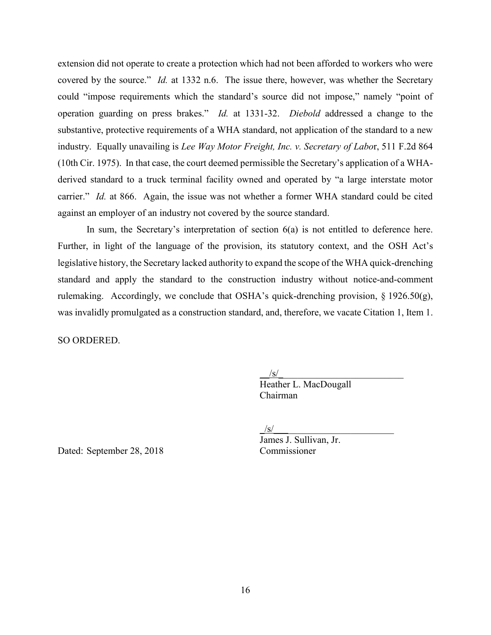extension did not operate to create a protection which had not been afforded to workers who were covered by the source." *Id.* at 1332 n.6. The issue there, however, was whether the Secretary could "impose requirements which the standard's source did not impose," namely "point of operation guarding on press brakes." *Id.* at 1331-32. *Diebold* addressed a change to the substantive, protective requirements of a WHA standard, not application of the standard to a new industry. Equally unavailing is *Lee Way Motor Freight, Inc. v. Secretary of Labo*r, 511 F.2d 864 (10th Cir. 1975). In that case, the court deemed permissible the Secretary's application of a WHAderived standard to a truck terminal facility owned and operated by "a large interstate motor carrier." *Id.* at 866. Again, the issue was not whether a former WHA standard could be cited against an employer of an industry not covered by the source standard.

In sum, the Secretary's interpretation of section 6(a) is not entitled to deference here. Further, in light of the language of the provision, its statutory context, and the OSH Act's legislative history, the Secretary lacked authority to expand the scope of the WHA quick-drenching standard and apply the standard to the construction industry without notice-and-comment rulemaking. Accordingly, we conclude that OSHA's quick-drenching provision,  $\S 1926.50(g)$ , was invalidly promulgated as a construction standard, and, therefore, we vacate Citation 1, Item 1.

SO ORDERED.

 $\sqrt{s/2}$ 

Heather L. MacDougall Chairman

 $/\mathrm{s}/$ 

James J. Sullivan, Jr.

Dated: September 28, 2018 Commissioner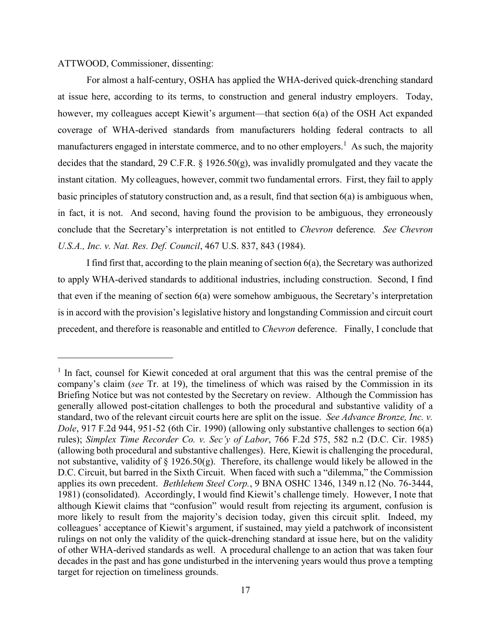### ATTWOOD, Commissioner, dissenting:

l

For almost a half-century, OSHA has applied the WHA-derived quick-drenching standard at issue here, according to its terms, to construction and general industry employers. Today, however, my colleagues accept Kiewit's argument—that section 6(a) of the OSH Act expanded coverage of WHA-derived standards from manufacturers holding federal contracts to all manufacturers engaged in interstate commerce, and to no other employers.<sup>1</sup> As such, the majority decides that the standard, 29 C.F.R. § 1926.50(g), was invalidly promulgated and they vacate the instant citation. My colleagues, however, commit two fundamental errors. First, they fail to apply basic principles of statutory construction and, as a result, find that section 6(a) is ambiguous when, in fact, it is not. And second, having found the provision to be ambiguous, they erroneously conclude that the Secretary's interpretation is not entitled to *Chevron* deference*. See Chevron U.S.A., Inc. v. Nat. Res. Def. Council*, 467 U.S. 837, 843 (1984).

I find first that, according to the plain meaning of section 6(a), the Secretary was authorized to apply WHA-derived standards to additional industries, including construction. Second, I find that even if the meaning of section 6(a) were somehow ambiguous, the Secretary's interpretation is in accord with the provision's legislative history and longstanding Commission and circuit court precedent, and therefore is reasonable and entitled to *Chevron* deference. Finally, I conclude that

<sup>&</sup>lt;sup>1</sup> In fact, counsel for Kiewit conceded at oral argument that this was the central premise of the company's claim (*see* Tr. at 19), the timeliness of which was raised by the Commission in its Briefing Notice but was not contested by the Secretary on review. Although the Commission has generally allowed post-citation challenges to both the procedural and substantive validity of a standard, two of the relevant circuit courts here are split on the issue. *See Advance Bronze, Inc. v. Dole*, 917 F.2d 944, 951-52 (6th Cir. 1990) (allowing only substantive challenges to section 6(a) rules); *Simplex Time Recorder Co. v. Sec'y of Labor*, 766 F.2d 575, 582 n.2 (D.C. Cir. 1985) (allowing both procedural and substantive challenges). Here, Kiewit is challenging the procedural, not substantive, validity of § 1926.50(g). Therefore, its challenge would likely be allowed in the D.C. Circuit, but barred in the Sixth Circuit. When faced with such a "dilemma," the Commission applies its own precedent. *Bethlehem Steel Corp.*, 9 BNA OSHC 1346, 1349 n.12 (No. 76-3444, 1981) (consolidated). Accordingly, I would find Kiewit's challenge timely. However, I note that although Kiewit claims that "confusion" would result from rejecting its argument, confusion is more likely to result from the majority's decision today, given this circuit split. Indeed, my colleagues' acceptance of Kiewit's argument, if sustained, may yield a patchwork of inconsistent rulings on not only the validity of the quick-drenching standard at issue here, but on the validity of other WHA-derived standards as well. A procedural challenge to an action that was taken four decades in the past and has gone undisturbed in the intervening years would thus prove a tempting target for rejection on timeliness grounds.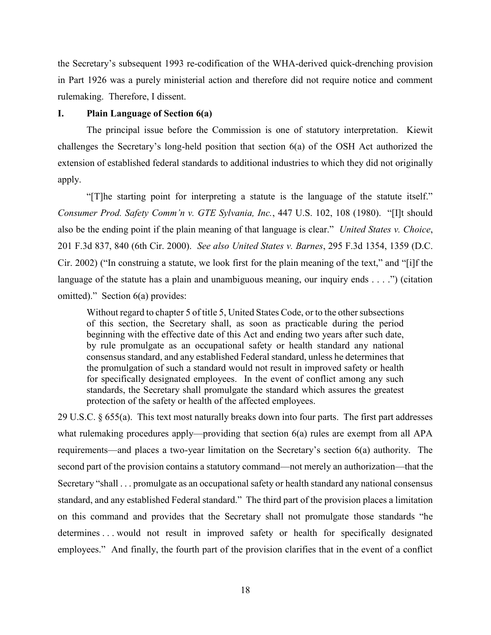the Secretary's subsequent 1993 re-codification of the WHA-derived quick-drenching provision in Part 1926 was a purely ministerial action and therefore did not require notice and comment rulemaking. Therefore, I dissent.

### **I. Plain Language of Section 6(a)**

The principal issue before the Commission is one of statutory interpretation. Kiewit challenges the Secretary's long-held position that section 6(a) of the OSH Act authorized the extension of established federal standards to additional industries to which they did not originally apply.

"[T]he starting point for interpreting a statute is the language of the statute itself." *Consumer Prod. Safety Comm'n v. GTE Sylvania, Inc.*, 447 U.S. 102, 108 (1980). "[I]t should also be the ending point if the plain meaning of that language is clear." *United States v. Choice*, 201 F.3d 837, 840 (6th Cir. 2000). *See also United States v. Barnes*, 295 F.3d 1354, 1359 (D.C. Cir. 2002) ("In construing a statute, we look first for the plain meaning of the text," and "[i]f the language of the statute has a plain and unambiguous meaning, our inquiry ends  $\dots$ .") (citation omitted)." Section 6(a) provides:

Without regard to chapter 5 of title 5, United States Code, or to the other subsections of this section, the Secretary shall, as soon as practicable during the period beginning with the effective date of this Act and ending two years after such date, by rule promulgate as an occupational safety or health standard any national consensus standard, and any established Federal standard, unless he determines that the promulgation of such a standard would not result in improved safety or health for specifically designated employees. In the event of conflict among any such standards, the Secretary shall promulgate the standard which assures the greatest protection of the safety or health of the affected employees.

29 U.S.C. § 655(a). This text most naturally breaks down into four parts. The first part addresses what rulemaking procedures apply—providing that section 6(a) rules are exempt from all APA requirements—and places a two-year limitation on the Secretary's section 6(a) authority. The second part of the provision contains a statutory command—not merely an authorization—that the Secretary "shall . . . promulgate as an occupational safety or health standard any national consensus standard, and any established Federal standard." The third part of the provision places a limitation on this command and provides that the Secretary shall not promulgate those standards "he determines . . . would not result in improved safety or health for specifically designated employees." And finally, the fourth part of the provision clarifies that in the event of a conflict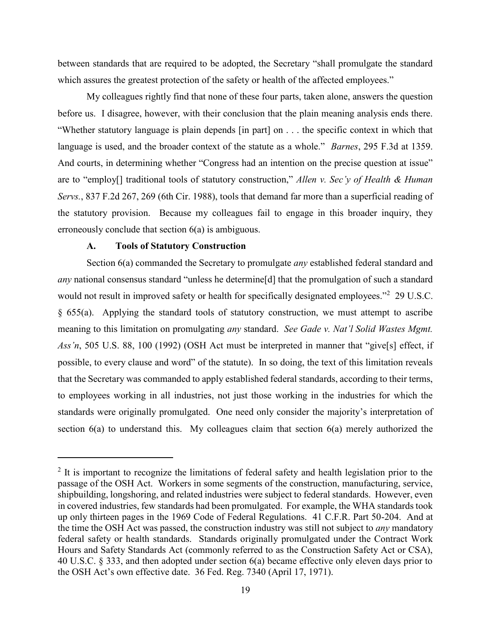between standards that are required to be adopted, the Secretary "shall promulgate the standard which assures the greatest protection of the safety or health of the affected employees."

My colleagues rightly find that none of these four parts, taken alone, answers the question before us. I disagree, however, with their conclusion that the plain meaning analysis ends there. "Whether statutory language is plain depends [in part] on . . . the specific context in which that language is used, and the broader context of the statute as a whole." *Barnes*, 295 F.3d at 1359. And courts, in determining whether "Congress had an intention on the precise question at issue" are to "employ[] traditional tools of statutory construction," *Allen v. Sec'y of Health & Human Servs.*, 837 F.2d 267, 269 (6th Cir. 1988), tools that demand far more than a superficial reading of the statutory provision. Because my colleagues fail to engage in this broader inquiry, they erroneously conclude that section 6(a) is ambiguous.

### **A. Tools of Statutory Construction**

 $\overline{\phantom{a}}$ 

Section 6(a) commanded the Secretary to promulgate *any* established federal standard and *any* national consensus standard "unless he determine[d] that the promulgation of such a standard would not result in improved safety or health for specifically designated employees."<sup>2</sup> 29 U.S.C. § 655(a). Applying the standard tools of statutory construction, we must attempt to ascribe meaning to this limitation on promulgating *any* standard. *See Gade v. Nat'l Solid Wastes Mgmt. Ass'n*, 505 U.S. 88, 100 (1992) (OSH Act must be interpreted in manner that "give[s] effect, if possible, to every clause and word" of the statute). In so doing, the text of this limitation reveals that the Secretary was commanded to apply established federal standards, according to their terms, to employees working in all industries, not just those working in the industries for which the standards were originally promulgated. One need only consider the majority's interpretation of section 6(a) to understand this. My colleagues claim that section 6(a) merely authorized the

 $2$  It is important to recognize the limitations of federal safety and health legislation prior to the passage of the OSH Act. Workers in some segments of the construction, manufacturing, service, shipbuilding, longshoring, and related industries were subject to federal standards. However, even in covered industries, few standards had been promulgated. For example, the WHA standards took up only thirteen pages in the 1969 Code of Federal Regulations. 41 C.F.R. Part 50-204. And at the time the OSH Act was passed, the construction industry was still not subject to *any* mandatory federal safety or health standards. Standards originally promulgated under the Contract Work Hours and Safety Standards Act (commonly referred to as the Construction Safety Act or CSA), 40 U.S.C. § 333, and then adopted under section 6(a) became effective only eleven days prior to the OSH Act's own effective date. 36 Fed. Reg. 7340 (April 17, 1971).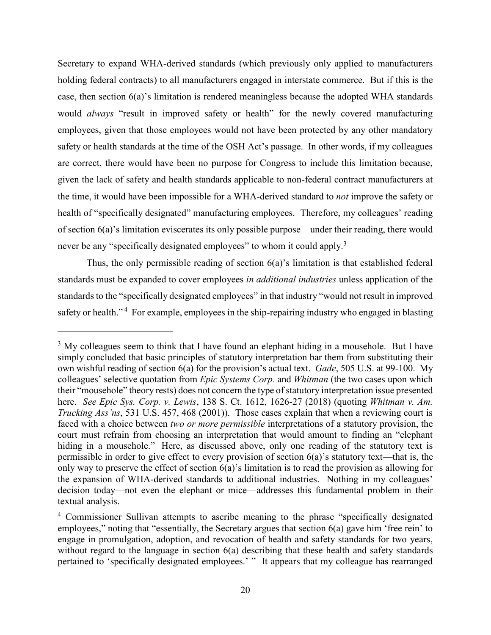Secretary to expand WHA-derived standards (which previously only applied to manufacturers holding federal contracts) to all manufacturers engaged in interstate commerce. But if this is the case, then section 6(a)'s limitation is rendered meaningless because the adopted WHA standards would *always* "result in improved safety or health" for the newly covered manufacturing employees, given that those employees would not have been protected by any other mandatory safety or health standards at the time of the OSH Act's passage. In other words, if my colleagues are correct, there would have been no purpose for Congress to include this limitation because, given the lack of safety and health standards applicable to non-federal contract manufacturers at the time, it would have been impossible for a WHA-derived standard to *not* improve the safety or health of "specifically designated" manufacturing employees. Therefore, my colleagues' reading of section 6(a)'s limitation eviscerates its only possible purpose—under their reading, there would never be any "specifically designated employees" to whom it could apply.<sup>3</sup>

Thus, the only permissible reading of section 6(a)'s limitation is that established federal standards must be expanded to cover employees *in additional industries* unless application of the standards to the "specifically designated employees" in that industry "would not result in improved safety or health."<sup>4</sup> For example, employees in the ship-repairing industry who engaged in blasting

<sup>&</sup>lt;sup>3</sup> My colleagues seem to think that I have found an elephant hiding in a mousehole. But I have simply concluded that basic principles of statutory interpretation bar them from substituting their own wishful reading of section 6(a) for the provision's actual text. *Gade*, 505 U.S. at 99-100. My colleagues' selective quotation from *Epic Systems Corp.* and *Whitman* (the two cases upon which their "mousehole" theory rests) does not concern the type of statutory interpretation issue presented here. *See Epic Sys. Corp. v. Lewis*, 138 S. Ct. 1612, 1626-27 (2018) (quoting *Whitman v. Am. Trucking Ass'ns*, 531 U.S. 457, 468 (2001)). Those cases explain that when a reviewing court is faced with a choice between *two or more permissible* interpretations of a statutory provision, the court must refrain from choosing an interpretation that would amount to finding an "elephant hiding in a mousehole." Here, as discussed above, only one reading of the statutory text is permissible in order to give effect to every provision of section 6(a)'s statutory text—that is, the only way to preserve the effect of section 6(a)'s limitation is to read the provision as allowing for the expansion of WHA-derived standards to additional industries. Nothing in my colleagues' decision today—not even the elephant or mice—addresses this fundamental problem in their textual analysis.

<sup>4</sup> Commissioner Sullivan attempts to ascribe meaning to the phrase "specifically designated employees," noting that "essentially, the Secretary argues that section 6(a) gave him 'free rein' to engage in promulgation, adoption, and revocation of health and safety standards for two years, without regard to the language in section 6(a) describing that these health and safety standards pertained to 'specifically designated employees.' " It appears that my colleague has rearranged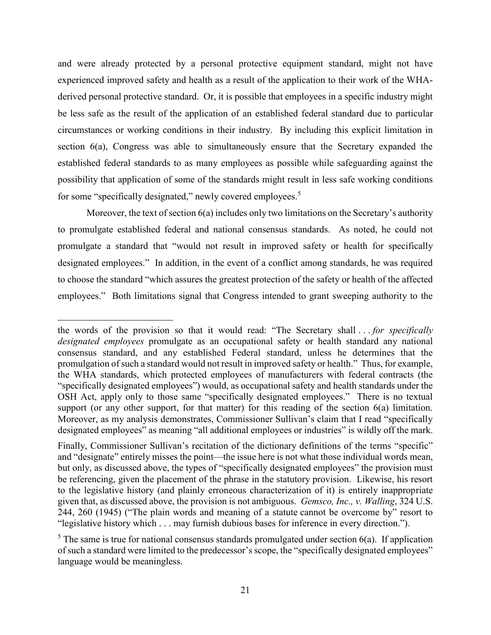and were already protected by a personal protective equipment standard, might not have experienced improved safety and health as a result of the application to their work of the WHAderived personal protective standard. Or, it is possible that employees in a specific industry might be less safe as the result of the application of an established federal standard due to particular circumstances or working conditions in their industry. By including this explicit limitation in section 6(a), Congress was able to simultaneously ensure that the Secretary expanded the established federal standards to as many employees as possible while safeguarding against the possibility that application of some of the standards might result in less safe working conditions for some "specifically designated," newly covered employees.<sup>5</sup>

Moreover, the text of section 6(a) includes only two limitations on the Secretary's authority to promulgate established federal and national consensus standards. As noted, he could not promulgate a standard that "would not result in improved safety or health for specifically designated employees." In addition, in the event of a conflict among standards, he was required to choose the standard "which assures the greatest protection of the safety or health of the affected employees." Both limitations signal that Congress intended to grant sweeping authority to the

the words of the provision so that it would read: "The Secretary shall . . . *for specifically designated employees* promulgate as an occupational safety or health standard any national consensus standard, and any established Federal standard, unless he determines that the promulgation of such a standard would not result in improved safety or health." Thus, for example, the WHA standards, which protected employees of manufacturers with federal contracts (the "specifically designated employees") would, as occupational safety and health standards under the OSH Act, apply only to those same "specifically designated employees." There is no textual support (or any other support, for that matter) for this reading of the section 6(a) limitation. Moreover, as my analysis demonstrates, Commissioner Sullivan's claim that I read "specifically designated employees" as meaning "all additional employees or industries" is wildly off the mark.

Finally, Commissioner Sullivan's recitation of the dictionary definitions of the terms "specific" and "designate" entirely misses the point—the issue here is not what those individual words mean, but only, as discussed above, the types of "specifically designated employees" the provision must be referencing, given the placement of the phrase in the statutory provision. Likewise, his resort to the legislative history (and plainly erroneous characterization of it) is entirely inappropriate given that, as discussed above, the provision is not ambiguous. *Gemsco, Inc., v. Walling*, 324 U.S. 244, 260 (1945) ("The plain words and meaning of a statute cannot be overcome by" resort to "legislative history which . . . may furnish dubious bases for inference in every direction.").

 $5$  The same is true for national consensus standards promulgated under section 6(a). If application of such a standard were limited to the predecessor's scope, the "specifically designated employees" language would be meaningless.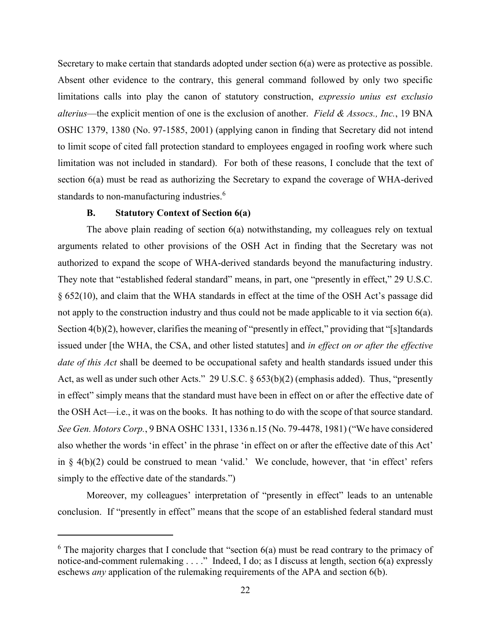Secretary to make certain that standards adopted under section 6(a) were as protective as possible. Absent other evidence to the contrary, this general command followed by only two specific limitations calls into play the canon of statutory construction, *expressio unius est exclusio alterius*—the explicit mention of one is the exclusion of another. *Field & Assocs., Inc.*, 19 BNA OSHC 1379, 1380 (No. 97-1585, 2001) (applying canon in finding that Secretary did not intend to limit scope of cited fall protection standard to employees engaged in roofing work where such limitation was not included in standard). For both of these reasons, I conclude that the text of section 6(a) must be read as authorizing the Secretary to expand the coverage of WHA-derived standards to non-manufacturing industries.<sup>6</sup>

### **B. Statutory Context of Section 6(a)**

l

The above plain reading of section 6(a) notwithstanding, my colleagues rely on textual arguments related to other provisions of the OSH Act in finding that the Secretary was not authorized to expand the scope of WHA-derived standards beyond the manufacturing industry. They note that "established federal standard" means, in part, one "presently in effect," 29 U.S.C. § 652(10), and claim that the WHA standards in effect at the time of the OSH Act's passage did not apply to the construction industry and thus could not be made applicable to it via section 6(a). Section 4(b)(2), however, clarifies the meaning of "presently in effect," providing that "[s]tandards issued under [the WHA, the CSA, and other listed statutes] and *in effect on or after the effective date of this Act* shall be deemed to be occupational safety and health standards issued under this Act, as well as under such other Acts." 29 U.S.C. § 653(b)(2) (emphasis added). Thus, "presently in effect" simply means that the standard must have been in effect on or after the effective date of the OSH Act—i.e., it was on the books. It has nothing to do with the scope of that source standard. *See Gen. Motors Corp.*, 9 BNA OSHC 1331, 1336 n.15 (No. 79-4478, 1981) ("We have considered also whether the words 'in effect' in the phrase 'in effect on or after the effective date of this Act' in  $\S$  4(b)(2) could be construed to mean 'valid.' We conclude, however, that 'in effect' refers simply to the effective date of the standards.")

Moreover, my colleagues' interpretation of "presently in effect" leads to an untenable conclusion. If "presently in effect" means that the scope of an established federal standard must

 $6$  The majority charges that I conclude that "section  $6(a)$  must be read contrary to the primacy of notice-and-comment rulemaking . . . ." Indeed, I do; as I discuss at length, section 6(a) expressly eschews *any* application of the rulemaking requirements of the APA and section 6(b).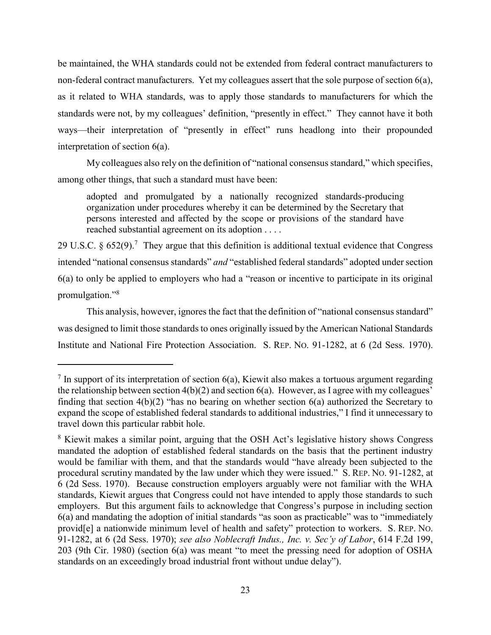be maintained, the WHA standards could not be extended from federal contract manufacturers to non-federal contract manufacturers. Yet my colleagues assert that the sole purpose of section 6(a), as it related to WHA standards, was to apply those standards to manufacturers for which the standards were not, by my colleagues' definition, "presently in effect." They cannot have it both ways—their interpretation of "presently in effect" runs headlong into their propounded interpretation of section 6(a).

My colleagues also rely on the definition of "national consensus standard," which specifies, among other things, that such a standard must have been:

adopted and promulgated by a nationally recognized standards-producing organization under procedures whereby it can be determined by the Secretary that persons interested and affected by the scope or provisions of the standard have reached substantial agreement on its adoption . . . .

29 U.S.C.  $\& 652(9)$ .<sup>7</sup> They argue that this definition is additional textual evidence that Congress intended "national consensus standards" *and* "established federal standards" adopted under section 6(a) to only be applied to employers who had a "reason or incentive to participate in its original promulgation."<sup>8</sup>

This analysis, however, ignores the fact that the definition of "national consensus standard" was designed to limit those standards to ones originally issued by the American National Standards Institute and National Fire Protection Association. S. REP. NO. 91-1282, at 6 (2d Sess. 1970).

 $\overline{a}$ 

<sup>&</sup>lt;sup>7</sup> In support of its interpretation of section 6(a), Kiewit also makes a tortuous argument regarding the relationship between section  $4(b)(2)$  and section  $6(a)$ . However, as I agree with my colleagues' finding that section 4(b)(2) "has no bearing on whether section 6(a) authorized the Secretary to expand the scope of established federal standards to additional industries," I find it unnecessary to travel down this particular rabbit hole.

<sup>&</sup>lt;sup>8</sup> Kiewit makes a similar point, arguing that the OSH Act's legislative history shows Congress mandated the adoption of established federal standards on the basis that the pertinent industry would be familiar with them, and that the standards would "have already been subjected to the procedural scrutiny mandated by the law under which they were issued." S. REP. NO. 91-1282, at 6 (2d Sess. 1970). Because construction employers arguably were not familiar with the WHA standards, Kiewit argues that Congress could not have intended to apply those standards to such employers. But this argument fails to acknowledge that Congress's purpose in including section 6(a) and mandating the adoption of initial standards "as soon as practicable" was to "immediately provid[e] a nationwide minimum level of health and safety" protection to workers. S. REP. NO. 91-1282, at 6 (2d Sess. 1970); *see also Noblecraft Indus., Inc. v. Sec'y of Labor*, 614 F.2d 199, 203 (9th Cir. 1980) (section 6(a) was meant "to meet the pressing need for adoption of OSHA standards on an exceedingly broad industrial front without undue delay").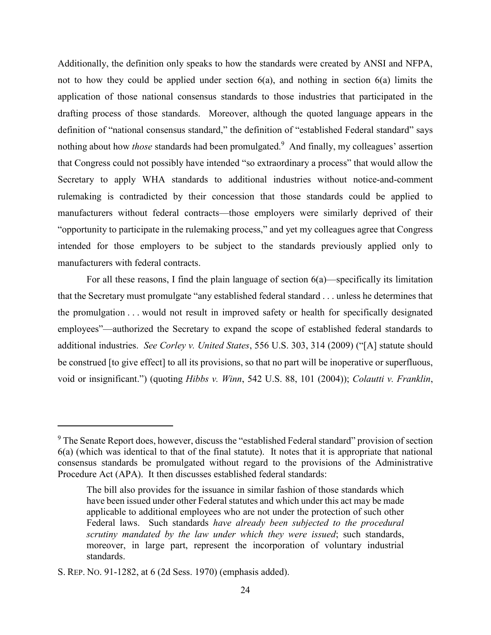Additionally, the definition only speaks to how the standards were created by ANSI and NFPA, not to how they could be applied under section 6(a), and nothing in section 6(a) limits the application of those national consensus standards to those industries that participated in the drafting process of those standards. Moreover, although the quoted language appears in the definition of "national consensus standard," the definition of "established Federal standard" says nothing about how *those* standards had been promulgated.<sup>9</sup> And finally, my colleagues' assertion that Congress could not possibly have intended "so extraordinary a process" that would allow the Secretary to apply WHA standards to additional industries without notice-and-comment rulemaking is contradicted by their concession that those standards could be applied to manufacturers without federal contracts—those employers were similarly deprived of their "opportunity to participate in the rulemaking process," and yet my colleagues agree that Congress intended for those employers to be subject to the standards previously applied only to manufacturers with federal contracts.

For all these reasons, I find the plain language of section  $6(a)$ —specifically its limitation that the Secretary must promulgate "any established federal standard . . . unless he determines that the promulgation . . . would not result in improved safety or health for specifically designated employees"—authorized the Secretary to expand the scope of established federal standards to additional industries. *See Corley v. United States*, 556 U.S. 303, 314 (2009) ("[A] statute should be construed [to give effect] to all its provisions, so that no part will be inoperative or superfluous, void or insignificant.") (quoting *Hibbs v. Winn*, 542 U.S. 88, 101 (2004)); *Colautti v. Franklin*,

 $\overline{a}$ 

<sup>&</sup>lt;sup>9</sup> The Senate Report does, however, discuss the "established Federal standard" provision of section 6(a) (which was identical to that of the final statute). It notes that it is appropriate that national consensus standards be promulgated without regard to the provisions of the Administrative Procedure Act (APA). It then discusses established federal standards:

The bill also provides for the issuance in similar fashion of those standards which have been issued under other Federal statutes and which under this act may be made applicable to additional employees who are not under the protection of such other Federal laws. Such standards *have already been subjected to the procedural scrutiny mandated by the law under which they were issued*; such standards, moreover, in large part, represent the incorporation of voluntary industrial standards.

S. REP. NO. 91-1282, at 6 (2d Sess. 1970) (emphasis added).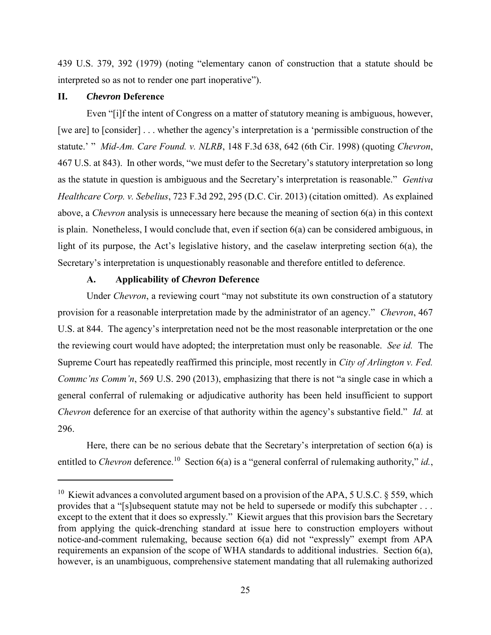439 U.S. 379, 392 (1979) (noting "elementary canon of construction that a statute should be interpreted so as not to render one part inoperative").

### **II.** *Chevron* **Deference**

 $\overline{a}$ 

Even "[i]f the intent of Congress on a matter of statutory meaning is ambiguous, however, [we are] to [consider] . . . whether the agency's interpretation is a 'permissible construction of the statute.' " *Mid-Am. Care Found. v. NLRB*, 148 F.3d 638, 642 (6th Cir. 1998) (quoting *Chevron*, 467 U.S. at 843). In other words, "we must defer to the Secretary's statutory interpretation so long as the statute in question is ambiguous and the Secretary's interpretation is reasonable." *Gentiva Healthcare Corp. v. Sebelius*, 723 F.3d 292, 295 (D.C. Cir. 2013) (citation omitted). As explained above, a *Chevron* analysis is unnecessary here because the meaning of section 6(a) in this context is plain. Nonetheless, I would conclude that, even if section 6(a) can be considered ambiguous, in light of its purpose, the Act's legislative history, and the caselaw interpreting section 6(a), the Secretary's interpretation is unquestionably reasonable and therefore entitled to deference.

### **A. Applicability of** *Chevron* **Deference**

Under *Chevron*, a reviewing court "may not substitute its own construction of a statutory provision for a reasonable interpretation made by the administrator of an agency." *Chevron*, 467 U.S. at 844. The agency's interpretation need not be the most reasonable interpretation or the one the reviewing court would have adopted; the interpretation must only be reasonable. *See id.* The Supreme Court has repeatedly reaffirmed this principle, most recently in *City of Arlington v. Fed. Commc'ns Comm'n*, 569 U.S. 290 (2013), emphasizing that there is not "a single case in which a general conferral of rulemaking or adjudicative authority has been held insufficient to support *Chevron* deference for an exercise of that authority within the agency's substantive field." *Id.* at 296.

Here, there can be no serious debate that the Secretary's interpretation of section 6(a) is entitled to *Chevron* deference.<sup>10</sup> Section 6(a) is a "general conferral of rulemaking authority," *id.*,

<sup>&</sup>lt;sup>10</sup> Kiewit advances a convoluted argument based on a provision of the APA, 5 U.S.C. § 559, which provides that a "[s]ubsequent statute may not be held to supersede or modify this subchapter . . . except to the extent that it does so expressly." Kiewit argues that this provision bars the Secretary from applying the quick-drenching standard at issue here to construction employers without notice-and-comment rulemaking, because section 6(a) did not "expressly" exempt from APA requirements an expansion of the scope of WHA standards to additional industries. Section 6(a), however, is an unambiguous, comprehensive statement mandating that all rulemaking authorized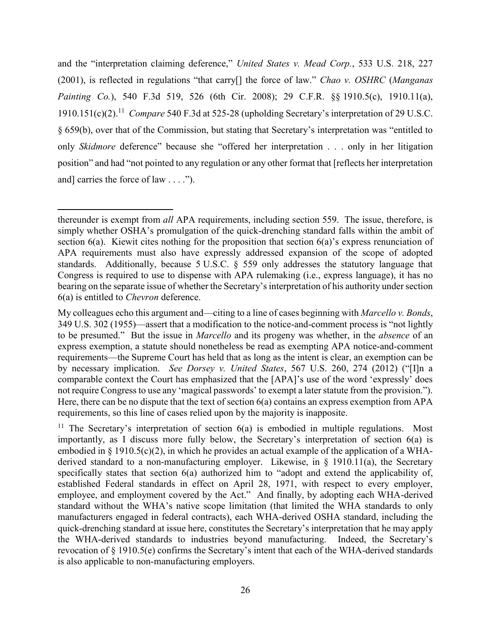and the "interpretation claiming deference," *United States v. Mead Corp.*, 533 U.S. 218, 227 (2001), is reflected in regulations "that carry[] the force of law." *Chao v. OSHRC* (*Manganas Painting Co.*), 540 F.3d 519, 526 (6th Cir. 2008); 29 C.F.R. §§ 1910.5(c), 1910.11(a), 1910.151(c)(2).<sup>11</sup> Compare 540 F.3d at 525-28 (upholding Secretary's interpretation of 29 U.S.C. § 659(b), over that of the Commission, but stating that Secretary's interpretation was "entitled to only *Skidmore* deference" because she "offered her interpretation . . . only in her litigation position" and had "not pointed to any regulation or any other format that [reflects her interpretation and] carries the force of law  $\dots$ .").

thereunder is exempt from *all* APA requirements, including section 559. The issue, therefore, is simply whether OSHA's promulgation of the quick-drenching standard falls within the ambit of section 6(a). Kiewit cites nothing for the proposition that section 6(a)'s express renunciation of APA requirements must also have expressly addressed expansion of the scope of adopted standards. Additionally, because 5 U.S.C. § 559 only addresses the statutory language that Congress is required to use to dispense with APA rulemaking (i.e., express language), it has no bearing on the separate issue of whether the Secretary's interpretation of his authority under section 6(a) is entitled to *Chevron* deference.

My colleagues echo this argument and—citing to a line of cases beginning with *Marcello v. Bonds*, 349 U.S. 302 (1955)—assert that a modification to the notice-and-comment process is "not lightly to be presumed." But the issue in *Marcello* and its progeny was whether, in the *absence* of an express exemption, a statute should nonetheless be read as exempting APA notice-and-comment requirements—the Supreme Court has held that as long as the intent is clear, an exemption can be by necessary implication. *See Dorsey v. United States*, 567 U.S. 260, 274 (2012) ("[I]n a comparable context the Court has emphasized that the [APA]'s use of the word 'expressly' does not require Congress to use any 'magical passwords' to exempt a later statute from the provision."). Here, there can be no dispute that the text of section 6(a) contains an express exemption from APA requirements, so this line of cases relied upon by the majority is inapposite.

<sup>&</sup>lt;sup>11</sup> The Secretary's interpretation of section  $6(a)$  is embodied in multiple regulations. Most importantly, as I discuss more fully below, the Secretary's interpretation of section 6(a) is embodied in § 1910.5(c)(2), in which he provides an actual example of the application of a WHAderived standard to a non-manufacturing employer. Likewise, in § 1910.11(a), the Secretary specifically states that section 6(a) authorized him to "adopt and extend the applicability of, established Federal standards in effect on April 28, 1971, with respect to every employer, employee, and employment covered by the Act." And finally, by adopting each WHA-derived standard without the WHA's native scope limitation (that limited the WHA standards to only manufacturers engaged in federal contracts), each WHA-derived OSHA standard, including the quick-drenching standard at issue here, constitutes the Secretary's interpretation that he may apply the WHA-derived standards to industries beyond manufacturing. Indeed, the Secretary's revocation of § 1910.5(e) confirms the Secretary's intent that each of the WHA-derived standards is also applicable to non-manufacturing employers.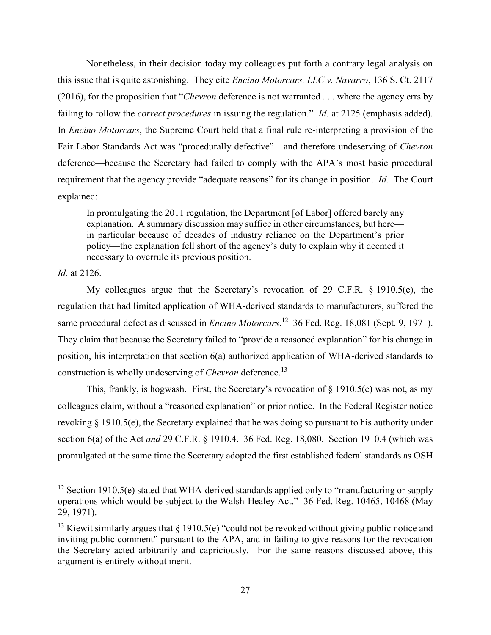Nonetheless, in their decision today my colleagues put forth a contrary legal analysis on this issue that is quite astonishing. They cite *Encino Motorcars, LLC v. Navarro*, 136 S. Ct. 2117 (2016), for the proposition that "*Chevron* deference is not warranted . . . where the agency errs by failing to follow the *correct procedures* in issuing the regulation." *Id.* at 2125 (emphasis added). In *Encino Motorcars*, the Supreme Court held that a final rule re-interpreting a provision of the Fair Labor Standards Act was "procedurally defective"—and therefore undeserving of *Chevron*  deference—because the Secretary had failed to comply with the APA's most basic procedural requirement that the agency provide "adequate reasons" for its change in position. *Id.* The Court explained:

In promulgating the 2011 regulation, the Department [of Labor] offered barely any explanation. A summary discussion may suffice in other circumstances, but here in particular because of decades of industry reliance on the Department's prior policy—the explanation fell short of the agency's duty to explain why it deemed it necessary to overrule its previous position.

*Id.* at 2126.

 $\overline{a}$ 

My colleagues argue that the Secretary's revocation of 29 C.F.R. § 1910.5(e), the regulation that had limited application of WHA-derived standards to manufacturers, suffered the same procedural defect as discussed in *Encino Motorcars*.<sup>12</sup> 36 Fed. Reg. 18,081 (Sept. 9, 1971). They claim that because the Secretary failed to "provide a reasoned explanation" for his change in position, his interpretation that section 6(a) authorized application of WHA-derived standards to construction is wholly undeserving of *Chevron* deference.<sup>13</sup>

This, frankly, is hogwash. First, the Secretary's revocation of § 1910.5(e) was not, as my colleagues claim, without a "reasoned explanation" or prior notice. In the Federal Register notice revoking § 1910.5(e), the Secretary explained that he was doing so pursuant to his authority under section 6(a) of the Act *and* 29 C.F.R. § 1910.4. 36 Fed. Reg. 18,080. Section 1910.4 (which was promulgated at the same time the Secretary adopted the first established federal standards as OSH

<sup>&</sup>lt;sup>12</sup> Section 1910.5(e) stated that WHA-derived standards applied only to "manufacturing or supply operations which would be subject to the Walsh-Healey Act." 36 Fed. Reg. 10465, 10468 (May 29, 1971).

<sup>&</sup>lt;sup>13</sup> Kiewit similarly argues that § 1910.5(e) "could not be revoked without giving public notice and inviting public comment" pursuant to the APA, and in failing to give reasons for the revocation the Secretary acted arbitrarily and capriciously. For the same reasons discussed above, this argument is entirely without merit.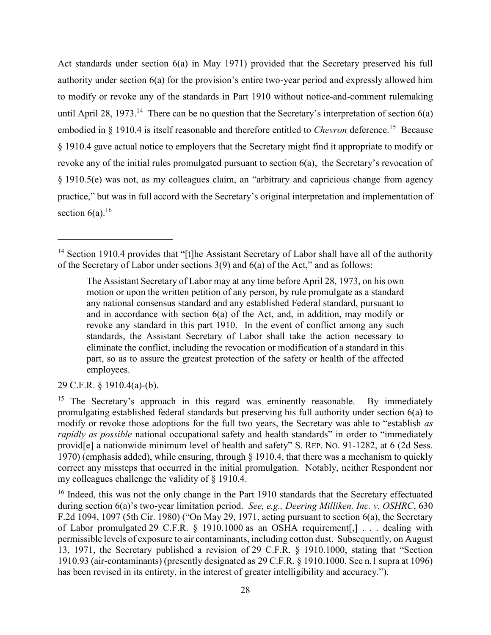Act standards under section 6(a) in May 1971) provided that the Secretary preserved his full authority under section 6(a) for the provision's entire two-year period and expressly allowed him to modify or revoke any of the standards in Part 1910 without notice-and-comment rulemaking until April 28, 1973.<sup>14</sup> There can be no question that the Secretary's interpretation of section  $6(a)$ embodied in § 1910.4 is itself reasonable and therefore entitled to *Chevron* deference.<sup>15</sup> Because § 1910.4 gave actual notice to employers that the Secretary might find it appropriate to modify or revoke any of the initial rules promulgated pursuant to section 6(a), the Secretary's revocation of § 1910.5(e) was not, as my colleagues claim, an "arbitrary and capricious change from agency practice," but was in full accord with the Secretary's original interpretation and implementation of section  $6(a)$ .<sup>16</sup>

29 C.F.R. § 1910.4(a)-(b).

 $\overline{a}$ 

<sup>&</sup>lt;sup>14</sup> Section 1910.4 provides that "[t]he Assistant Secretary of Labor shall have all of the authority of the Secretary of Labor under sections 3(9) and 6(a) of the Act," and as follows:

The Assistant Secretary of Labor may at any time before April 28, 1973, on his own motion or upon the written petition of any person, by rule promulgate as a standard any national consensus standard and any established Federal standard, pursuant to and in accordance with section 6(a) of the Act, and, in addition, may modify or revoke any standard in this part 1910. In the event of conflict among any such standards, the Assistant Secretary of Labor shall take the action necessary to eliminate the conflict, including the revocation or modification of a standard in this part, so as to assure the greatest protection of the safety or health of the affected employees.

<sup>&</sup>lt;sup>15</sup> The Secretary's approach in this regard was eminently reasonable. By immediately promulgating established federal standards but preserving his full authority under section 6(a) to modify or revoke those adoptions for the full two years, the Secretary was able to "establish *as rapidly as possible* national occupational safety and health standards" in order to "immediately provid[e] a nationwide minimum level of health and safety" S. REP. NO. 91-1282, at 6 (2d Sess. 1970) (emphasis added), while ensuring, through § 1910.4, that there was a mechanism to quickly correct any missteps that occurred in the initial promulgation. Notably, neither Respondent nor my colleagues challenge the validity of § 1910.4.

<sup>&</sup>lt;sup>16</sup> Indeed, this was not the only change in the Part 1910 standards that the Secretary effectuated during section 6(a)'s two-year limitation period. *See, e.g., Deering Milliken, Inc. v. OSHRC*, 630 F.2d 1094, 1097 (5th Cir. 1980) ("On May 29, 1971, acting pursuant to section 6(a), the Secretary of Labor promulgated 29 C.F.R. § 1910.1000 as an OSHA requirement[,] . . . dealing with permissible levels of exposure to air contaminants, including cotton dust. Subsequently, on August 13, 1971, the Secretary published a revision of 29 C.F.R. § 1910.1000, stating that "Section 1910.93 (air-contaminants) (presently designated as 29 C.F.R. § 1910.1000. See n.1 supra at 1096) has been revised in its entirety, in the interest of greater intelligibility and accuracy.").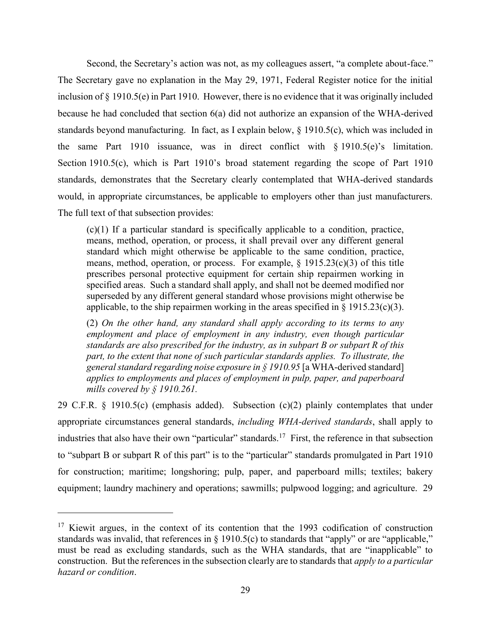Second, the Secretary's action was not, as my colleagues assert, "a complete about-face." The Secretary gave no explanation in the May 29, 1971, Federal Register notice for the initial inclusion of § 1910.5(e) in Part 1910. However, there is no evidence that it was originally included because he had concluded that section 6(a) did not authorize an expansion of the WHA-derived standards beyond manufacturing. In fact, as I explain below, § 1910.5(c), which was included in the same Part 1910 issuance, was in direct conflict with § 1910.5(e)'s limitation. Section 1910.5(c), which is Part 1910's broad statement regarding the scope of Part 1910 standards, demonstrates that the Secretary clearly contemplated that WHA-derived standards would, in appropriate circumstances, be applicable to employers other than just manufacturers. The full text of that subsection provides:

(c)(1) If a particular standard is specifically applicable to a condition, practice, means, method, operation, or process, it shall prevail over any different general standard which might otherwise be applicable to the same condition, practice, means, method, operation, or process. For example, § 1915.23(c)(3) of this title prescribes personal protective equipment for certain ship repairmen working in specified areas. Such a standard shall apply, and shall not be deemed modified nor superseded by any different general standard whose provisions might otherwise be applicable, to the ship repairmen working in the areas specified in  $\S$  1915.23(c)(3).

(2) *On the other hand, any standard shall apply according to its terms to any employment and place of employment in any industry, even though particular standards are also prescribed for the industry, as in subpart B or subpart R of this part, to the extent that none of such particular standards applies. To illustrate, the general standard regarding noise exposure in § 1910.95* [a WHA-derived standard] *applies to employments and places of employment in pulp, paper, and paperboard mills covered by § 1910.261.*

29 C.F.R. § 1910.5(c) (emphasis added). Subsection (c)(2) plainly contemplates that under appropriate circumstances general standards, *including WHA-derived standards*, shall apply to industries that also have their own "particular" standards.<sup>17</sup> First, the reference in that subsection to "subpart B or subpart R of this part" is to the "particular" standards promulgated in Part 1910 for construction; maritime; longshoring; pulp, paper, and paperboard mills; textiles; bakery equipment; laundry machinery and operations; sawmills; pulpwood logging; and agriculture. 29

<sup>&</sup>lt;sup>17</sup> Kiewit argues, in the context of its contention that the 1993 codification of construction standards was invalid, that references in  $\S$  1910.5(c) to standards that "apply" or are "applicable," must be read as excluding standards, such as the WHA standards, that are "inapplicable" to construction. But the references in the subsection clearly are to standards that *apply to a particular hazard or condition*.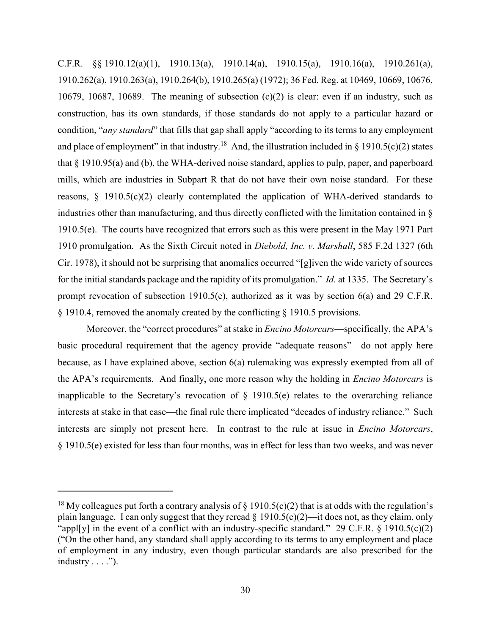C.F.R. §§ 1910.12(a)(1), 1910.13(a), 1910.14(a), 1910.15(a), 1910.16(a), 1910.261(a), 1910.262(a), 1910.263(a), 1910.264(b), 1910.265(a) (1972); 36 Fed. Reg. at 10469, 10669, 10676, 10679, 10687, 10689. The meaning of subsection (c)(2) is clear: even if an industry, such as construction, has its own standards, if those standards do not apply to a particular hazard or condition, "*any standard*" that fills that gap shall apply "according to its terms to any employment and place of employment" in that industry.<sup>18</sup> And, the illustration included in § 1910.5(c)(2) states that § 1910.95(a) and (b), the WHA-derived noise standard, applies to pulp, paper, and paperboard mills, which are industries in Subpart R that do not have their own noise standard. For these reasons, § 1910.5(c)(2) clearly contemplated the application of WHA-derived standards to industries other than manufacturing, and thus directly conflicted with the limitation contained in § 1910.5(e). The courts have recognized that errors such as this were present in the May 1971 Part 1910 promulgation. As the Sixth Circuit noted in *Diebold, Inc. v. Marshall*, 585 F.2d 1327 (6th Cir. 1978), it should not be surprising that anomalies occurred "[g]iven the wide variety of sources for the initial standards package and the rapidity of its promulgation." *Id.* at 1335.The Secretary's prompt revocation of subsection 1910.5(e), authorized as it was by section 6(a) and 29 C.F.R. § 1910.4, removed the anomaly created by the conflicting § 1910.5 provisions.

Moreover, the "correct procedures" at stake in *Encino Motorcars*—specifically, the APA's basic procedural requirement that the agency provide "adequate reasons"—do not apply here because, as I have explained above, section 6(a) rulemaking was expressly exempted from all of the APA's requirements. And finally, one more reason why the holding in *Encino Motorcars* is inapplicable to the Secretary's revocation of § 1910.5(e) relates to the overarching reliance interests at stake in that case—the final rule there implicated "decades of industry reliance." Such interests are simply not present here. In contrast to the rule at issue in *Encino Motorcars*, § 1910.5(e) existed for less than four months, was in effect for less than two weeks, and was never

<sup>&</sup>lt;sup>18</sup> My colleagues put forth a contrary analysis of  $\S$  1910.5(c)(2) that is at odds with the regulation's plain language. I can only suggest that they reread  $\S 1910.5(c)(2)$ —it does not, as they claim, only "appl[y] in the event of a conflict with an industry-specific standard." 29 C.F.R.  $\S$  1910.5(c)(2) ("On the other hand, any standard shall apply according to its terms to any employment and place of employment in any industry, even though particular standards are also prescribed for the industry  $\dots$ .").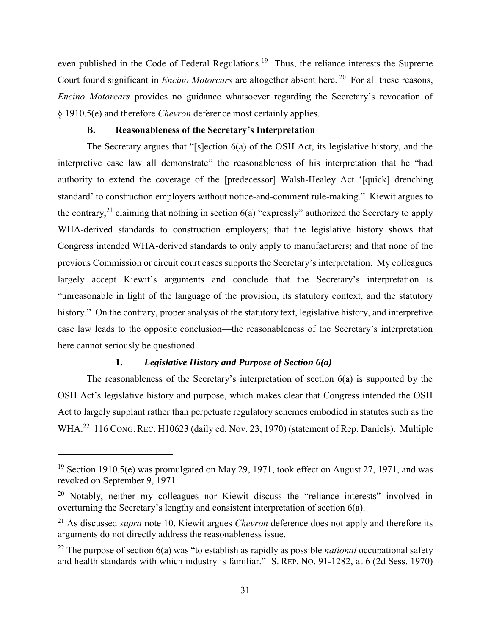even published in the Code of Federal Regulations.<sup>19</sup> Thus, the reliance interests the Supreme Court found significant in *Encino Motorcars* are altogether absent here. <sup>20</sup> For all these reasons, *Encino Motorcars* provides no guidance whatsoever regarding the Secretary's revocation of § 1910.5(e) and therefore *Chevron* deference most certainly applies.

### **B. Reasonableness of the Secretary's Interpretation**

The Secretary argues that "[s]ection 6(a) of the OSH Act, its legislative history, and the interpretive case law all demonstrate" the reasonableness of his interpretation that he "had authority to extend the coverage of the [predecessor] Walsh-Healey Act '[quick] drenching standard' to construction employers without notice-and-comment rule-making." Kiewit argues to the contrary,<sup>21</sup> claiming that nothing in section  $6(a)$  "expressly" authorized the Secretary to apply WHA-derived standards to construction employers; that the legislative history shows that Congress intended WHA-derived standards to only apply to manufacturers; and that none of the previous Commission or circuit court cases supports the Secretary's interpretation. My colleagues largely accept Kiewit's arguments and conclude that the Secretary's interpretation is "unreasonable in light of the language of the provision, its statutory context, and the statutory history." On the contrary, proper analysis of the statutory text, legislative history, and interpretive case law leads to the opposite conclusion—the reasonableness of the Secretary's interpretation here cannot seriously be questioned.

## **1.** *Legislative History and Purpose of Section 6(a)*

l

The reasonableness of the Secretary's interpretation of section 6(a) is supported by the OSH Act's legislative history and purpose, which makes clear that Congress intended the OSH Act to largely supplant rather than perpetuate regulatory schemes embodied in statutes such as the WHA.<sup>22</sup> 116 CONG. REC. H10623 (daily ed. Nov. 23, 1970) (statement of Rep. Daniels). Multiple

<sup>&</sup>lt;sup>19</sup> Section 1910.5(e) was promulgated on May 29, 1971, took effect on August 27, 1971, and was revoked on September 9, 1971.

<sup>&</sup>lt;sup>20</sup> Notably, neither my colleagues nor Kiewit discuss the "reliance interests" involved in overturning the Secretary's lengthy and consistent interpretation of section 6(a).

<sup>21</sup> As discussed *supra* note 10, Kiewit argues *Chevron* deference does not apply and therefore its arguments do not directly address the reasonableness issue.

<sup>22</sup> The purpose of section 6(a) was "to establish as rapidly as possible *national* occupational safety and health standards with which industry is familiar." S. REP. NO. 91-1282, at 6 (2d Sess. 1970)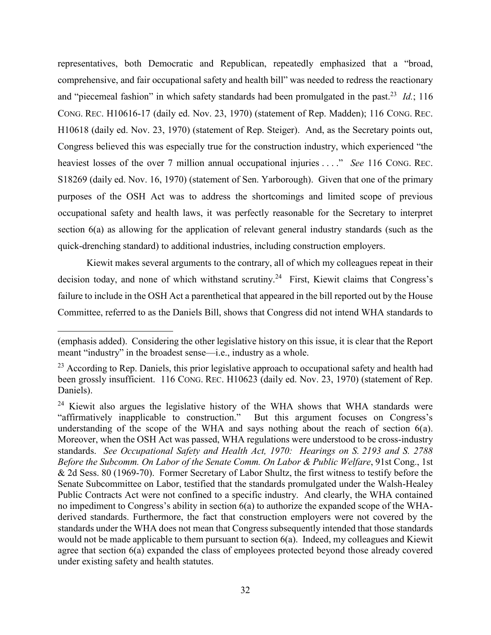representatives, both Democratic and Republican, repeatedly emphasized that a "broad, comprehensive, and fair occupational safety and health bill" was needed to redress the reactionary and "piecemeal fashion" in which safety standards had been promulgated in the past.<sup>23</sup> Id.; 116 CONG. REC. H10616-17 (daily ed. Nov. 23, 1970) (statement of Rep. Madden); 116 CONG. REC. H10618 (daily ed. Nov. 23, 1970) (statement of Rep. Steiger). And, as the Secretary points out, Congress believed this was especially true for the construction industry, which experienced "the heaviest losses of the over 7 million annual occupational injuries . . . ." *See* 116 CONG. REC. S18269 (daily ed. Nov. 16, 1970) (statement of Sen. Yarborough). Given that one of the primary purposes of the OSH Act was to address the shortcomings and limited scope of previous occupational safety and health laws, it was perfectly reasonable for the Secretary to interpret section 6(a) as allowing for the application of relevant general industry standards (such as the quick-drenching standard) to additional industries, including construction employers.

Kiewit makes several arguments to the contrary, all of which my colleagues repeat in their decision today, and none of which withstand scrutiny.<sup>24</sup> First, Kiewit claims that Congress's failure to include in the OSH Act a parenthetical that appeared in the bill reported out by the House Committee, referred to as the Daniels Bill, shows that Congress did not intend WHA standards to

<sup>(</sup>emphasis added). Considering the other legislative history on this issue, it is clear that the Report meant "industry" in the broadest sense—i.e., industry as a whole.

 $^{23}$  According to Rep. Daniels, this prior legislative approach to occupational safety and health had been grossly insufficient. 116 CONG. REC. H10623 (daily ed. Nov. 23, 1970) (statement of Rep. Daniels).

<sup>&</sup>lt;sup>24</sup> Kiewit also argues the legislative history of the WHA shows that WHA standards were "affirmatively inapplicable to construction." But this argument focuses on Congress's understanding of the scope of the WHA and says nothing about the reach of section 6(a). Moreover, when the OSH Act was passed, WHA regulations were understood to be cross-industry standards. *See Occupational Safety and Health Act, 1970: Hearings on S. 2193 and S. 2788 Before the Subcomm. On Labor of the Senate Comm. On Labor & Public Welfare*, 91st Cong., 1st & 2d Sess. 80 (1969-70). Former Secretary of Labor Shultz, the first witness to testify before the Senate Subcommittee on Labor, testified that the standards promulgated under the Walsh-Healey Public Contracts Act were not confined to a specific industry. And clearly, the WHA contained no impediment to Congress's ability in section 6(a) to authorize the expanded scope of the WHAderived standards. Furthermore, the fact that construction employers were not covered by the standards under the WHA does not mean that Congress subsequently intended that those standards would not be made applicable to them pursuant to section 6(a). Indeed, my colleagues and Kiewit agree that section 6(a) expanded the class of employees protected beyond those already covered under existing safety and health statutes.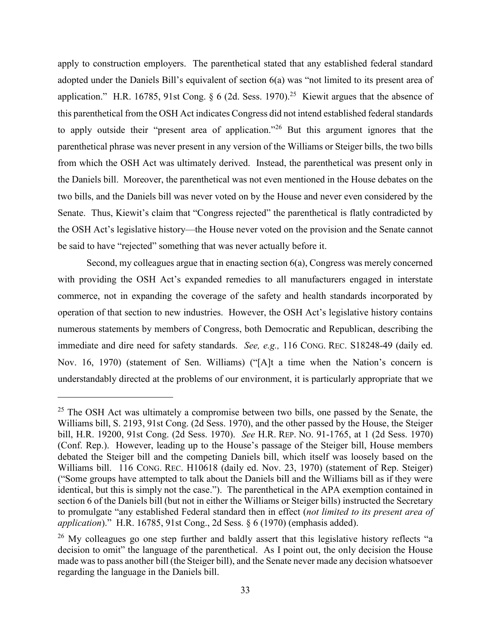apply to construction employers. The parenthetical stated that any established federal standard adopted under the Daniels Bill's equivalent of section 6(a) was "not limited to its present area of application." H.R. 16785, 91st Cong.  $\S 6$  (2d. Sess. 1970).<sup>25</sup> Kiewit argues that the absence of this parenthetical from the OSH Act indicates Congress did not intend established federal standards to apply outside their "present area of application."<sup>26</sup> But this argument ignores that the parenthetical phrase was never present in any version of the Williams or Steiger bills, the two bills from which the OSH Act was ultimately derived. Instead, the parenthetical was present only in the Daniels bill. Moreover, the parenthetical was not even mentioned in the House debates on the two bills, and the Daniels bill was never voted on by the House and never even considered by the Senate. Thus, Kiewit's claim that "Congress rejected" the parenthetical is flatly contradicted by the OSH Act's legislative history—the House never voted on the provision and the Senate cannot be said to have "rejected" something that was never actually before it.

Second, my colleagues argue that in enacting section 6(a), Congress was merely concerned with providing the OSH Act's expanded remedies to all manufacturers engaged in interstate commerce, not in expanding the coverage of the safety and health standards incorporated by operation of that section to new industries. However, the OSH Act's legislative history contains numerous statements by members of Congress, both Democratic and Republican, describing the immediate and dire need for safety standards. *See, e.g.,* 116 CONG. REC. S18248-49 (daily ed. Nov. 16, 1970) (statement of Sen. Williams) ("[A]t a time when the Nation's concern is understandably directed at the problems of our environment, it is particularly appropriate that we

 $25$  The OSH Act was ultimately a compromise between two bills, one passed by the Senate, the Williams bill, S. 2193, 91st Cong. (2d Sess. 1970), and the other passed by the House, the Steiger bill, H.R. 19200, 91st Cong. (2d Sess. 1970). *See* H.R. REP. NO. 91-1765, at 1 (2d Sess. 1970) (Conf. Rep.). However, leading up to the House's passage of the Steiger bill, House members debated the Steiger bill and the competing Daniels bill, which itself was loosely based on the Williams bill. 116 CONG. REC. H10618 (daily ed. Nov. 23, 1970) (statement of Rep. Steiger) ("Some groups have attempted to talk about the Daniels bill and the Williams bill as if they were identical, but this is simply not the case."). The parenthetical in the APA exemption contained in section 6 of the Daniels bill (but not in either the Williams or Steiger bills) instructed the Secretary to promulgate "any established Federal standard then in effect (*not limited to its present area of application*)." H.R. 16785, 91st Cong., 2d Sess. § 6 (1970) (emphasis added).

 $26$  My colleagues go one step further and baldly assert that this legislative history reflects "a decision to omit" the language of the parenthetical. As I point out, the only decision the House made was to pass another bill (the Steiger bill), and the Senate never made any decision whatsoever regarding the language in the Daniels bill.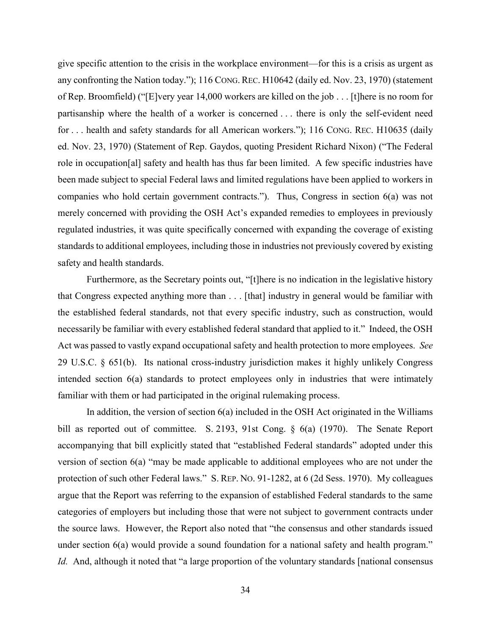give specific attention to the crisis in the workplace environment—for this is a crisis as urgent as any confronting the Nation today."); 116 CONG. REC. H10642 (daily ed. Nov. 23, 1970) (statement of Rep. Broomfield) ("[E]very year 14,000 workers are killed on the job . . . [t]here is no room for partisanship where the health of a worker is concerned . . . there is only the self-evident need for . . . health and safety standards for all American workers."); 116 CONG. REC. H10635 (daily ed. Nov. 23, 1970) (Statement of Rep. Gaydos, quoting President Richard Nixon) ("The Federal role in occupation[al] safety and health has thus far been limited. A few specific industries have been made subject to special Federal laws and limited regulations have been applied to workers in companies who hold certain government contracts."). Thus, Congress in section 6(a) was not merely concerned with providing the OSH Act's expanded remedies to employees in previously regulated industries, it was quite specifically concerned with expanding the coverage of existing standards to additional employees, including those in industries not previously covered by existing safety and health standards.

Furthermore, as the Secretary points out, "[t]here is no indication in the legislative history that Congress expected anything more than . . . [that] industry in general would be familiar with the established federal standards, not that every specific industry, such as construction, would necessarily be familiar with every established federal standard that applied to it." Indeed, the OSH Act was passed to vastly expand occupational safety and health protection to more employees. *See* 29 U.S.C. § 651(b). Its national cross-industry jurisdiction makes it highly unlikely Congress intended section 6(a) standards to protect employees only in industries that were intimately familiar with them or had participated in the original rulemaking process.

In addition, the version of section 6(a) included in the OSH Act originated in the Williams bill as reported out of committee. S. 2193, 91st Cong. § 6(a) (1970). The Senate Report accompanying that bill explicitly stated that "established Federal standards" adopted under this version of section 6(a) "may be made applicable to additional employees who are not under the protection of such other Federal laws." S. REP. NO. 91-1282, at 6 (2d Sess. 1970). My colleagues argue that the Report was referring to the expansion of established Federal standards to the same categories of employers but including those that were not subject to government contracts under the source laws. However, the Report also noted that "the consensus and other standards issued under section 6(a) would provide a sound foundation for a national safety and health program." *Id.* And, although it noted that "a large proportion of the voluntary standards [national consensus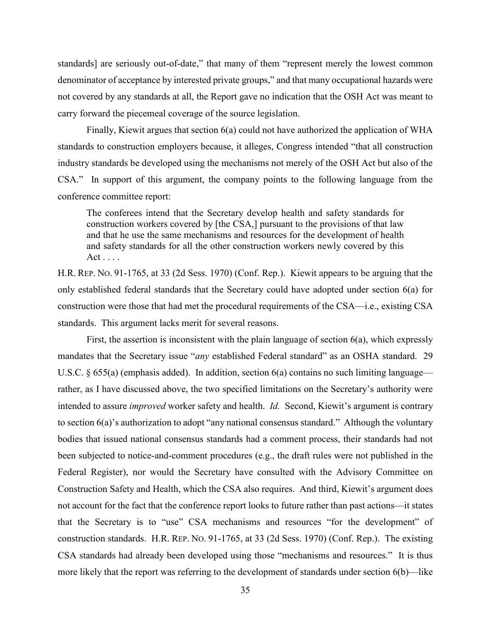standards] are seriously out-of-date," that many of them "represent merely the lowest common denominator of acceptance by interested private groups," and that many occupational hazards were not covered by any standards at all, the Report gave no indication that the OSH Act was meant to carry forward the piecemeal coverage of the source legislation.

Finally, Kiewit argues that section 6(a) could not have authorized the application of WHA standards to construction employers because, it alleges, Congress intended "that all construction industry standards be developed using the mechanisms not merely of the OSH Act but also of the CSA." In support of this argument, the company points to the following language from the conference committee report:

The conferees intend that the Secretary develop health and safety standards for construction workers covered by [the CSA,] pursuant to the provisions of that law and that he use the same mechanisms and resources for the development of health and safety standards for all the other construction workers newly covered by this  $Act \ldots$ .

H.R. REP. NO. 91-1765, at 33 (2d Sess. 1970) (Conf. Rep.). Kiewit appears to be arguing that the only established federal standards that the Secretary could have adopted under section 6(a) for construction were those that had met the procedural requirements of the CSA—i.e., existing CSA standards. This argument lacks merit for several reasons.

First, the assertion is inconsistent with the plain language of section 6(a), which expressly mandates that the Secretary issue "*any* established Federal standard" as an OSHA standard. 29 U.S.C. § 655(a) (emphasis added). In addition, section 6(a) contains no such limiting language rather, as I have discussed above, the two specified limitations on the Secretary's authority were intended to assure *improved* worker safety and health. *Id.* Second, Kiewit's argument is contrary to section 6(a)'s authorization to adopt "any national consensus standard." Although the voluntary bodies that issued national consensus standards had a comment process, their standards had not been subjected to notice-and-comment procedures (e.g., the draft rules were not published in the Federal Register), nor would the Secretary have consulted with the Advisory Committee on Construction Safety and Health, which the CSA also requires. And third, Kiewit's argument does not account for the fact that the conference report looks to future rather than past actions—it states that the Secretary is to "use" CSA mechanisms and resources "for the development" of construction standards. H.R. REP. NO. 91-1765, at 33 (2d Sess. 1970) (Conf. Rep.). The existing CSA standards had already been developed using those "mechanisms and resources." It is thus more likely that the report was referring to the development of standards under section 6(b)—like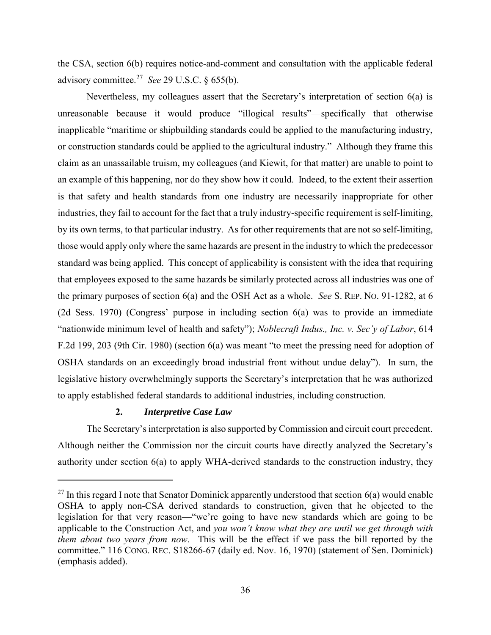the CSA, section 6(b) requires notice-and-comment and consultation with the applicable federal advisory committee.<sup>27</sup> *See* 29 U.S.C. § 655(b).

Nevertheless, my colleagues assert that the Secretary's interpretation of section 6(a) is unreasonable because it would produce "illogical results"—specifically that otherwise inapplicable "maritime or shipbuilding standards could be applied to the manufacturing industry, or construction standards could be applied to the agricultural industry." Although they frame this claim as an unassailable truism, my colleagues (and Kiewit, for that matter) are unable to point to an example of this happening, nor do they show how it could. Indeed, to the extent their assertion is that safety and health standards from one industry are necessarily inappropriate for other industries, they fail to account for the fact that a truly industry-specific requirement is self-limiting, by its own terms, to that particular industry. As for other requirements that are not so self-limiting, those would apply only where the same hazards are present in the industry to which the predecessor standard was being applied. This concept of applicability is consistent with the idea that requiring that employees exposed to the same hazards be similarly protected across all industries was one of the primary purposes of section 6(a) and the OSH Act as a whole. *See* S. REP. NO. 91-1282, at 6 (2d Sess. 1970) (Congress' purpose in including section 6(a) was to provide an immediate "nationwide minimum level of health and safety"); *Noblecraft Indus., Inc. v. Sec'y of Labor*, 614 F.2d 199, 203 (9th Cir. 1980) (section 6(a) was meant "to meet the pressing need for adoption of OSHA standards on an exceedingly broad industrial front without undue delay"). In sum, the legislative history overwhelmingly supports the Secretary's interpretation that he was authorized to apply established federal standards to additional industries, including construction.

## **2.** *Interpretive Case Law*

 $\overline{a}$ 

The Secretary's interpretation is also supported by Commission and circuit court precedent. Although neither the Commission nor the circuit courts have directly analyzed the Secretary's authority under section 6(a) to apply WHA-derived standards to the construction industry, they

<sup>&</sup>lt;sup>27</sup> In this regard I note that Senator Dominick apparently understood that section  $6(a)$  would enable OSHA to apply non-CSA derived standards to construction, given that he objected to the legislation for that very reason—"we're going to have new standards which are going to be applicable to the Construction Act, and *you won't know what they are until we get through with them about two years from now*. This will be the effect if we pass the bill reported by the committee." 116 CONG. REC. S18266-67 (daily ed. Nov. 16, 1970) (statement of Sen. Dominick) (emphasis added).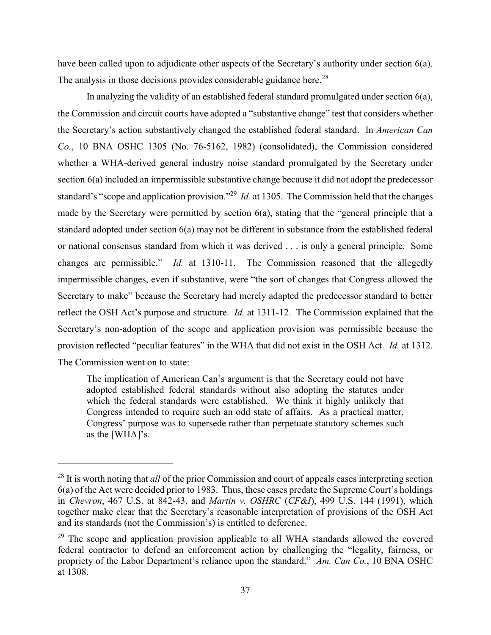have been called upon to adjudicate other aspects of the Secretary's authority under section 6(a). The analysis in those decisions provides considerable guidance here.<sup>28</sup>

In analyzing the validity of an established federal standard promulgated under section 6(a), the Commission and circuit courts have adopted a "substantive change" test that considers whether the Secretary's action substantively changed the established federal standard. In *American Can Co.*, 10 BNA OSHC 1305 (No. 76-5162, 1982) (consolidated), the Commission considered whether a WHA-derived general industry noise standard promulgated by the Secretary under section 6(a) included an impermissible substantive change because it did not adopt the predecessor standard's "scope and application provision."<sup>29</sup>  *Id.* at 1305. The Commission held that the changes made by the Secretary were permitted by section 6(a), stating that the "general principle that a standard adopted under section 6(a) may not be different in substance from the established federal or national consensus standard from which it was derived . . . is only a general principle. Some changes are permissible." *Id.* at 1310-11. The Commission reasoned that the allegedly impermissible changes, even if substantive, were "the sort of changes that Congress allowed the Secretary to make" because the Secretary had merely adapted the predecessor standard to better reflect the OSH Act's purpose and structure. *Id.* at 1311-12. The Commission explained that the Secretary's non-adoption of the scope and application provision was permissible because the provision reflected "peculiar features" in the WHA that did not exist in the OSH Act. *Id.* at 1312. The Commission went on to state:

The implication of American Can's argument is that the Secretary could not have adopted established federal standards without also adopting the statutes under which the federal standards were established. We think it highly unlikely that Congress intended to require such an odd state of affairs. As a practical matter, Congress' purpose was to supersede rather than perpetuate statutory schemes such as the [WHA]'s.

l

<sup>28</sup> It is worth noting that *all* of the prior Commission and court of appeals cases interpreting section 6(a) of the Act were decided prior to 1983. Thus, these cases predate the Supreme Court's holdings in *Chevron*, 467 U.S. at 842-43, and *Martin v. OSHRC* (*CF&I*), 499 U.S. 144 (1991), which together make clear that the Secretary's reasonable interpretation of provisions of the OSH Act and its standards (not the Commission's) is entitled to deference.

 $29$  The scope and application provision applicable to all WHA standards allowed the covered federal contractor to defend an enforcement action by challenging the "legality, fairness, or propriety of the Labor Department's reliance upon the standard." *Am. Can Co.*, 10 BNA OSHC at 1308.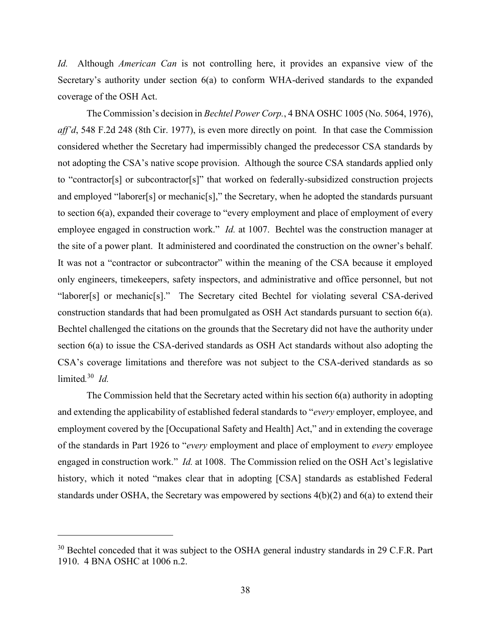*Id.* Although *American Can* is not controlling here, it provides an expansive view of the Secretary's authority under section 6(a) to conform WHA-derived standards to the expanded coverage of the OSH Act.

The Commission's decision in *Bechtel Power Corp.*, 4 BNA OSHC 1005 (No. 5064, 1976), *aff'd*, 548 F.2d 248 (8th Cir. 1977), is even more directly on point*.* In that case the Commission considered whether the Secretary had impermissibly changed the predecessor CSA standards by not adopting the CSA's native scope provision. Although the source CSA standards applied only to "contractor[s] or subcontractor[s]" that worked on federally-subsidized construction projects and employed "laborer[s] or mechanic[s]," the Secretary, when he adopted the standards pursuant to section 6(a), expanded their coverage to "every employment and place of employment of every employee engaged in construction work." *Id.* at 1007. Bechtel was the construction manager at the site of a power plant. It administered and coordinated the construction on the owner's behalf. It was not a "contractor or subcontractor" within the meaning of the CSA because it employed only engineers, timekeepers, safety inspectors, and administrative and office personnel, but not "laborer[s] or mechanic[s]." The Secretary cited Bechtel for violating several CSA-derived construction standards that had been promulgated as OSH Act standards pursuant to section 6(a). Bechtel challenged the citations on the grounds that the Secretary did not have the authority under section 6(a) to issue the CSA-derived standards as OSH Act standards without also adopting the CSA's coverage limitations and therefore was not subject to the CSA-derived standards as so limited*.* 30 *Id.*

The Commission held that the Secretary acted within his section 6(a) authority in adopting and extending the applicability of established federal standards to "*every* employer, employee, and employment covered by the [Occupational Safety and Health] Act," and in extending the coverage of the standards in Part 1926 to "*every* employment and place of employment to *every* employee engaged in construction work." *Id.* at 1008. The Commission relied on the OSH Act's legislative history, which it noted "makes clear that in adopting [CSA] standards as established Federal standards under OSHA, the Secretary was empowered by sections 4(b)(2) and 6(a) to extend their

 $\overline{a}$ 

 $30$  Bechtel conceded that it was subject to the OSHA general industry standards in 29 C.F.R. Part 1910. 4 BNA OSHC at 1006 n.2.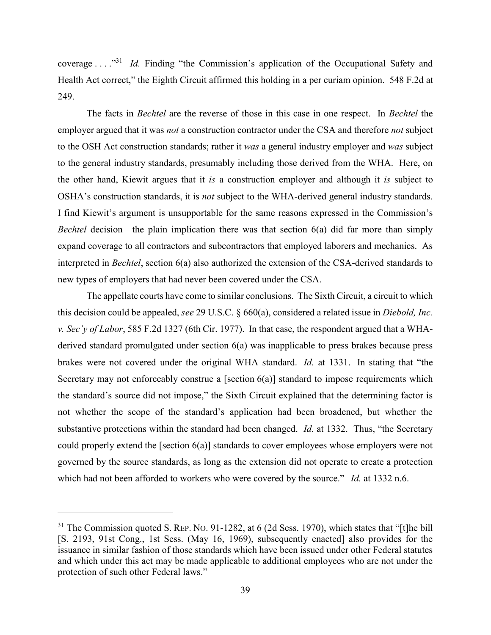coverage . . . ."<sup>31</sup> *Id.* Finding "the Commission's application of the Occupational Safety and Health Act correct," the Eighth Circuit affirmed this holding in a per curiam opinion. 548 F.2d at 249.

The facts in *Bechtel* are the reverse of those in this case in one respect. In *Bechtel* the employer argued that it was *not* a construction contractor under the CSA and therefore *not* subject to the OSH Act construction standards; rather it *was* a general industry employer and *was* subject to the general industry standards, presumably including those derived from the WHA. Here, on the other hand, Kiewit argues that it *is* a construction employer and although it *is* subject to OSHA's construction standards, it is *not* subject to the WHA-derived general industry standards. I find Kiewit's argument is unsupportable for the same reasons expressed in the Commission's *Bechtel* decision—the plain implication there was that section 6(a) did far more than simply expand coverage to all contractors and subcontractors that employed laborers and mechanics. As interpreted in *Bechtel*, section 6(a) also authorized the extension of the CSA-derived standards to new types of employers that had never been covered under the CSA.

The appellate courts have come to similar conclusions. The Sixth Circuit, a circuit to which this decision could be appealed, *see* 29 U.S.C. § 660(a), considered a related issue in *Diebold, Inc. v. Sec'y of Labor*, 585 F.2d 1327 (6th Cir. 1977). In that case, the respondent argued that a WHAderived standard promulgated under section 6(a) was inapplicable to press brakes because press brakes were not covered under the original WHA standard. *Id.* at 1331. In stating that "the Secretary may not enforceably construe a [section  $6(a)$ ] standard to impose requirements which the standard's source did not impose," the Sixth Circuit explained that the determining factor is not whether the scope of the standard's application had been broadened, but whether the substantive protections within the standard had been changed. *Id.* at 1332. Thus, "the Secretary could properly extend the [section 6(a)] standards to cover employees whose employers were not governed by the source standards, as long as the extension did not operate to create a protection which had not been afforded to workers who were covered by the source." *Id.* at 1332 n.6.

<sup>&</sup>lt;sup>31</sup> The Commission quoted S. REP. No. 91-1282, at 6 (2d Sess. 1970), which states that "[t]he bill [S. 2193, 91st Cong., 1st Sess. (May 16, 1969), subsequently enacted] also provides for the issuance in similar fashion of those standards which have been issued under other Federal statutes and which under this act may be made applicable to additional employees who are not under the protection of such other Federal laws."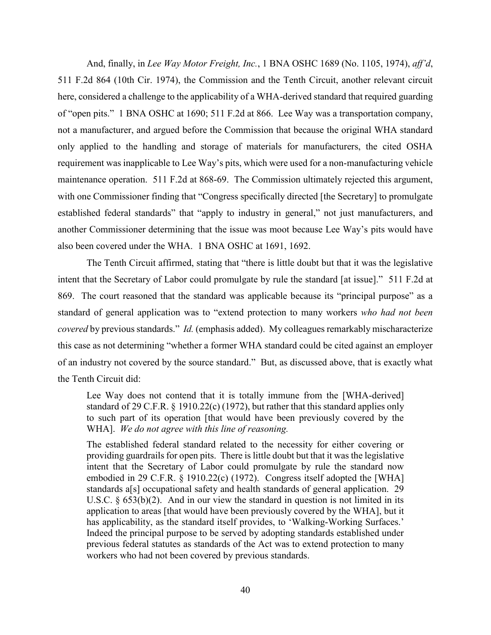And, finally, in *Lee Way Motor Freight, Inc.*, 1 BNA OSHC 1689 (No. 1105, 1974), *aff'd*, 511 F.2d 864 (10th Cir. 1974), the Commission and the Tenth Circuit, another relevant circuit here, considered a challenge to the applicability of a WHA-derived standard that required guarding of "open pits." 1 BNA OSHC at 1690; 511 F.2d at 866. Lee Way was a transportation company, not a manufacturer, and argued before the Commission that because the original WHA standard only applied to the handling and storage of materials for manufacturers, the cited OSHA requirement was inapplicable to Lee Way's pits, which were used for a non-manufacturing vehicle maintenance operation. 511 F.2d at 868-69. The Commission ultimately rejected this argument, with one Commissioner finding that "Congress specifically directed [the Secretary] to promulgate established federal standards" that "apply to industry in general," not just manufacturers, and another Commissioner determining that the issue was moot because Lee Way's pits would have also been covered under the WHA. 1 BNA OSHC at 1691, 1692.

The Tenth Circuit affirmed, stating that "there is little doubt but that it was the legislative intent that the Secretary of Labor could promulgate by rule the standard [at issue]." 511 F.2d at 869. The court reasoned that the standard was applicable because its "principal purpose" as a standard of general application was to "extend protection to many workers *who had not been covered* by previous standards." *Id.* (emphasis added). My colleagues remarkably mischaracterize this case as not determining "whether a former WHA standard could be cited against an employer of an industry not covered by the source standard." But, as discussed above, that is exactly what the Tenth Circuit did:

Lee Way does not contend that it is totally immune from the [WHA-derived] standard of 29 C.F.R. § 1910.22(c) (1972), but rather that this standard applies only to such part of its operation [that would have been previously covered by the WHA]. *We do not agree with this line of reasoning.*

The established federal standard related to the necessity for either covering or providing guardrails for open pits. There is little doubt but that it was the legislative intent that the Secretary of Labor could promulgate by rule the standard now embodied in 29 C.F.R. § 1910.22(c) (1972). Congress itself adopted the [WHA] standards a[s] occupational safety and health standards of general application. 29 U.S.C.  $\S 653(b)(2)$ . And in our view the standard in question is not limited in its application to areas [that would have been previously covered by the WHA], but it has applicability, as the standard itself provides, to 'Walking-Working Surfaces.' Indeed the principal purpose to be served by adopting standards established under previous federal statutes as standards of the Act was to extend protection to many workers who had not been covered by previous standards.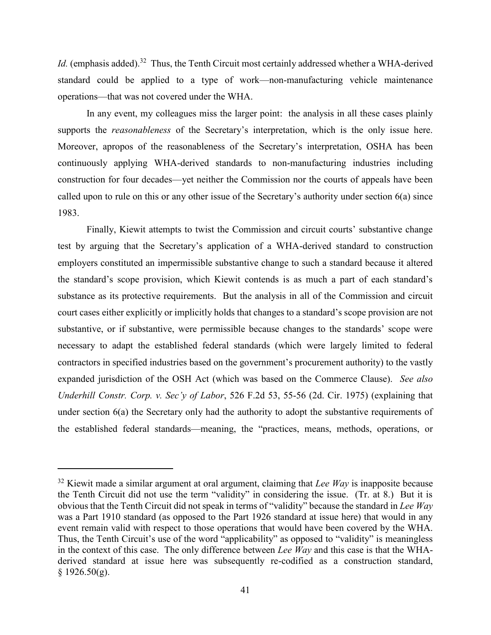Id. (emphasis added).<sup>32</sup> Thus, the Tenth Circuit most certainly addressed whether a WHA-derived standard could be applied to a type of work—non-manufacturing vehicle maintenance operations—that was not covered under the WHA.

In any event, my colleagues miss the larger point: the analysis in all these cases plainly supports the *reasonableness* of the Secretary's interpretation, which is the only issue here. Moreover, apropos of the reasonableness of the Secretary's interpretation, OSHA has been continuously applying WHA-derived standards to non-manufacturing industries including construction for four decades—yet neither the Commission nor the courts of appeals have been called upon to rule on this or any other issue of the Secretary's authority under section 6(a) since 1983.

Finally, Kiewit attempts to twist the Commission and circuit courts' substantive change test by arguing that the Secretary's application of a WHA-derived standard to construction employers constituted an impermissible substantive change to such a standard because it altered the standard's scope provision, which Kiewit contends is as much a part of each standard's substance as its protective requirements. But the analysis in all of the Commission and circuit court cases either explicitly or implicitly holds that changes to a standard's scope provision are not substantive, or if substantive, were permissible because changes to the standards' scope were necessary to adapt the established federal standards (which were largely limited to federal contractors in specified industries based on the government's procurement authority) to the vastly expanded jurisdiction of the OSH Act (which was based on the Commerce Clause). *See also Underhill Constr. Corp. v. Sec'y of Labor*, 526 F.2d 53, 55-56 (2d. Cir. 1975) (explaining that under section 6(a) the Secretary only had the authority to adopt the substantive requirements of the established federal standards—meaning, the "practices, means, methods, operations, or

l

<sup>&</sup>lt;sup>32</sup> Kiewit made a similar argument at oral argument, claiming that *Lee Way* is inapposite because the Tenth Circuit did not use the term "validity" in considering the issue. (Tr. at 8.) But it is obvious that the Tenth Circuit did not speak in terms of "validity" because the standard in *Lee Way*  was a Part 1910 standard (as opposed to the Part 1926 standard at issue here) that would in any event remain valid with respect to those operations that would have been covered by the WHA. Thus, the Tenth Circuit's use of the word "applicability" as opposed to "validity" is meaningless in the context of this case. The only difference between *Lee Way* and this case is that the WHAderived standard at issue here was subsequently re-codified as a construction standard,  $§$  1926.50(g).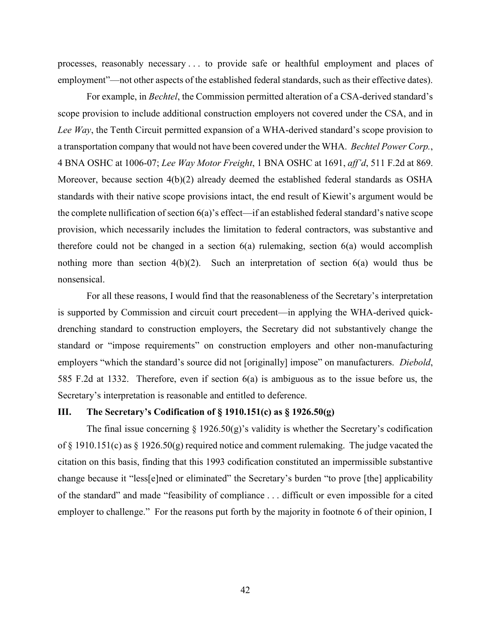processes, reasonably necessary . . . to provide safe or healthful employment and places of employment"—not other aspects of the established federal standards, such as their effective dates).

For example, in *Bechtel*, the Commission permitted alteration of a CSA-derived standard's scope provision to include additional construction employers not covered under the CSA, and in *Lee Way*, the Tenth Circuit permitted expansion of a WHA-derived standard's scope provision to a transportation company that would not have been covered under the WHA. *Bechtel Power Corp.*, 4 BNA OSHC at 1006-07; *Lee Way Motor Freight*, 1 BNA OSHC at 1691, *aff'd*, 511 F.2d at 869. Moreover, because section  $4(b)(2)$  already deemed the established federal standards as OSHA standards with their native scope provisions intact, the end result of Kiewit's argument would be the complete nullification of section 6(a)'s effect—if an established federal standard's native scope provision, which necessarily includes the limitation to federal contractors, was substantive and therefore could not be changed in a section  $6(a)$  rulemaking, section  $6(a)$  would accomplish nothing more than section 4(b)(2). Such an interpretation of section 6(a) would thus be nonsensical.

For all these reasons, I would find that the reasonableness of the Secretary's interpretation is supported by Commission and circuit court precedent—in applying the WHA-derived quickdrenching standard to construction employers, the Secretary did not substantively change the standard or "impose requirements" on construction employers and other non-manufacturing employers "which the standard's source did not [originally] impose" on manufacturers. *Diebold*, 585 F.2d at 1332. Therefore, even if section 6(a) is ambiguous as to the issue before us, the Secretary's interpretation is reasonable and entitled to deference.

# **III. The Secretary's Codification of § 1910.151(c) as § 1926.50(g)**

The final issue concerning  $\S$  1926.50(g)'s validity is whether the Secretary's codification of § 1910.151(c) as § 1926.50(g) required notice and comment rulemaking. The judge vacated the citation on this basis, finding that this 1993 codification constituted an impermissible substantive change because it "less[e]ned or eliminated" the Secretary's burden "to prove [the] applicability of the standard" and made "feasibility of compliance . . . difficult or even impossible for a cited employer to challenge." For the reasons put forth by the majority in footnote 6 of their opinion, I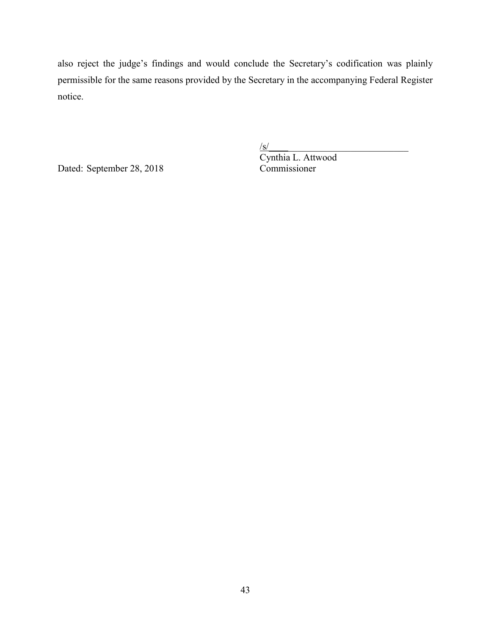also reject the judge's findings and would conclude the Secretary's codification was plainly permissible for the same reasons provided by the Secretary in the accompanying Federal Register notice.

Dated: September 28, 2018 Commissioner

 $\sqrt{s}$ / $\sqrt{s}$ / $\sqrt{s}$ / $\sqrt{s}$ / $\sqrt{s}$ / $\sqrt{s}$ / $\sqrt{s}$ / $\sqrt{s}$ / $\sqrt{s}$ / $\sqrt{s}$ / $\sqrt{s}$ / $\sqrt{s}$ / $\sqrt{s}$ / $\sqrt{s}$ / $\sqrt{s}$ / $\sqrt{s}$ / $\sqrt{s}$ / $\sqrt{s}$ / $\sqrt{s}$ / $\sqrt{s}$ / $\sqrt{s}$ / $\sqrt{s}$ / $\sqrt{s}$ / $\sqrt{s}$ / $\sqrt{s}$ / $\sqrt{s}$ / $\sqrt{s}$ / $\sqrt{s}$ / $\sqrt{s}$ / $\sqrt{s}$ / $\sqrt{s}$ / $\sqrt{s$ Cynthia L. Attwood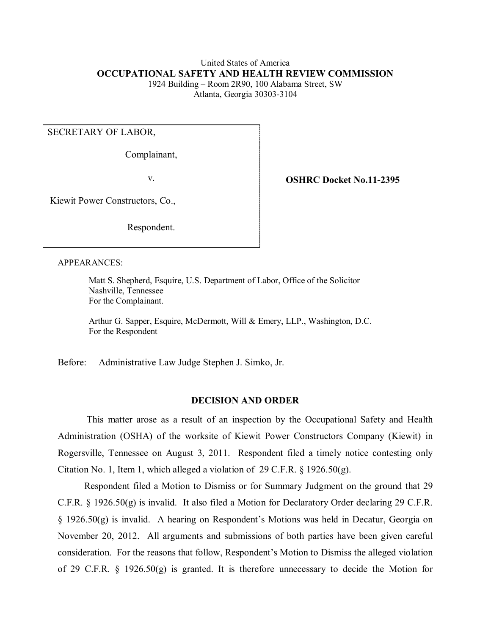### United States of America **OCCUPATIONAL SAFETY AND HEALTH REVIEW COMMISSION**  1924 Building – Room 2R90, 100 Alabama Street, SW Atlanta, Georgia 30303-3104

### SECRETARY OF LABOR,

Complainant,

v. **OSHRC Docket No.11-2395** 

Kiewit Power Constructors, Co.,

Respondent.

#### APPEARANCES:

Matt S. Shepherd, Esquire, U.S. Department of Labor, Office of the Solicitor Nashville, Tennessee For the Complainant.

Arthur G. Sapper, Esquire, McDermott, Will & Emery, LLP., Washington, D.C. For the Respondent

Before: Administrative Law Judge Stephen J. Simko, Jr.

### **DECISION AND ORDER**

 Rogersville, Tennessee on August 3, 2011. Respondent filed a timely notice contesting only This matter arose as a result of an inspection by the Occupational Safety and Health Administration (OSHA) of the worksite of Kiewit Power Constructors Company (Kiewit) in Citation No. 1, Item 1, which alleged a violation of 29 C.F.R.  $\S$  1926.50(g).

 consideration. For the reasons that follow, Respondent's Motion to Dismiss the alleged violation Respondent filed a Motion to Dismiss or for Summary Judgment on the ground that 29 C.F.R. § 1926.50(g) is invalid. It also filed a Motion for Declaratory Order declaring 29 C.F.R. § 1926.50(g) is invalid. A hearing on Respondent's Motions was held in Decatur, Georgia on November 20, 2012. All arguments and submissions of both parties have been given careful of 29 C.F.R. § 1926.50(g) is granted. It is therefore unnecessary to decide the Motion for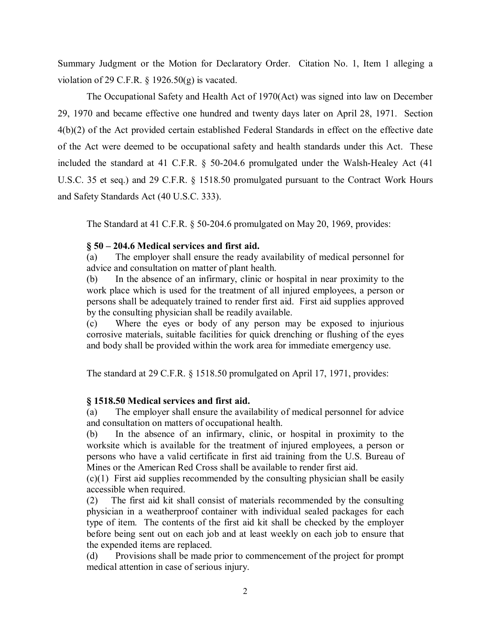Summary Judgment or the Motion for Declaratory Order. Citation No. 1, Item 1 alleging a violation of 29 C.F.R.  $\S$  1926.50(g) is vacated.

 29, 1970 and became effective one hundred and twenty days later on April 28, 1971. Section 4(b)(2) of the Act provided certain established Federal Standards in effect on the effective date of the Act were deemed to be occupational safety and health standards under this Act. These The Occupational Safety and Health Act of 1970(Act) was signed into law on December included the standard at 41 C.F.R. § 50-204.6 promulgated under the Walsh-Healey Act (41 U.S.C. 35 et seq.) and 29 C.F.R. § 1518.50 promulgated pursuant to the Contract Work Hours and Safety Standards Act (40 U.S.C. 333).

 The Standard at 41 C.F.R. § 50-204.6 promulgated on May 20, 1969, provides:

# **§ 50 – 204.6 Medical services and first aid.**

 (a) The employer shall ensure the ready availability of medical personnel for advice and consultation on matter of plant health.

 (b) In the absence of an infirmary, clinic or hospital in near proximity to the work place which is used for the treatment of all injured employees, a person or persons shall be adequately trained to render first aid. First aid supplies approved by the consulting physician shall be readily available.

 (c) Where the eyes or body of any person may be exposed to injurious corrosive materials, suitable facilities for quick drenching or flushing of the eyes and body shall be provided within the work area for immediate emergency use.

The standard at 29 C.F.R. § 1518.50 promulgated on April 17, 1971, provides:

# **§ 1518.50 Medical services and first aid.**

 (a) The employer shall ensure the availability of medical personnel for advice and consultation on matters of occupational health.

 (b) In the absence of an infirmary, clinic, or hospital in proximity to the persons who have a valid certificate in first aid training from the U.S. Bureau of worksite which is available for the treatment of injured employees, a person or Mines or the American Red Cross shall be available to render first aid.

 (c)(1) First aid supplies recommended by the consulting physician shall be easily accessible when required.

 $(2)$  physician in a weatherproof container with individual sealed packages for each type of item. The contents of the first aid kit shall be checked by the employer before being sent out on each job and at least weekly on each job to ensure that The first aid kit shall consist of materials recommended by the consulting the expended items are replaced.

 (d) Provisions shall be made prior to commencement of the project for prompt medical attention in case of serious injury.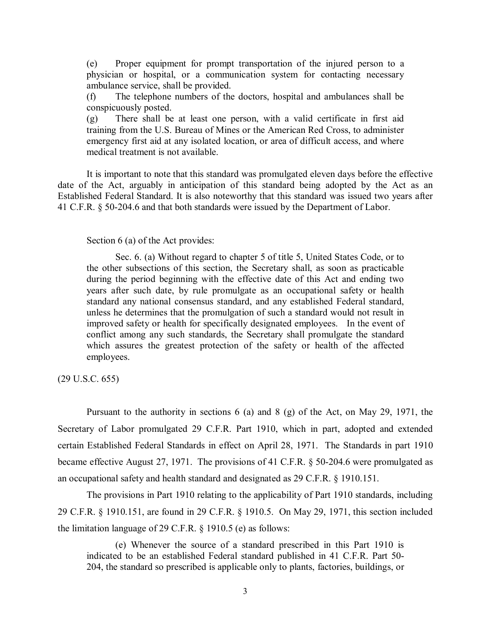(e) Proper equipment for prompt transportation of the injured person to a physician or hospital, or a communication system for contacting necessary ambulance service, shall be provided.

(f) The telephone numbers of the doctors, hospital and ambulances shall be conspicuously posted.

 (g) There shall be at least one person, with a valid certificate in first aid training from the U.S. Bureau of Mines or the American Red Cross, to administer medical treatment is not available. emergency first aid at any isolated location, or area of difficult access, and where

medical treatment is not available.<br>It is important to note that this standard was promulgated eleven days before the effective date of the Act, arguably in anticipation of this standard being adopted by the Act as an Established Federal Standard. It is also noteworthy that this standard was issued two years after 41 C.F.R. § 50-204.6 and that both standards were issued by the Department of Labor.

### Section 6 (a) of the Act provides:

 Sec. 6. (a) Without regard to chapter 5 of title 5, United States Code, or to during the period beginning with the effective date of this Act and ending two standard any national consensus standard, and any established Federal standard, employees. the other subsections of this section, the Secretary shall, as soon as practicable years after such date, by rule promulgate as an occupational safety or health unless he determines that the promulgation of such a standard would not result in improved safety or health for specifically designated employees. In the event of conflict among any such standards, the Secretary shall promulgate the standard which assures the greatest protection of the safety or health of the affected

 $(29 \text{ U.S.C. } 655)$ 

 Pursuant to the authority in sections 6 (a) and 8 (g) of the Act, on May 29, 1971, the certain Established Federal Standards in effect on April 28, 1971. The Standards in part 1910 became effective August 27, 1971. The provisions of 41 C.F.R. § 50-204.6 were promulgated as an occupational safety and health standard and designated as 29 C.F.R. § 1910.151. Secretary of Labor promulgated 29 C.F.R. Part 1910, which in part, adopted and extended

 The provisions in Part 1910 relating to the applicability of Part 1910 standards, including 29 C.F.R. § 1910.151, are found in 29 C.F.R. § 1910.5. On May 29, 1971, this section included the limitation language of 29 C.F.R. § 1910.5 (e) as follows:

(e) Whenever the source of a standard prescribed in this Part 1910 is indicated to be an established Federal standard published in 41 C.F.R. Part 50- 204, the standard so prescribed is applicable only to plants, factories, buildings, or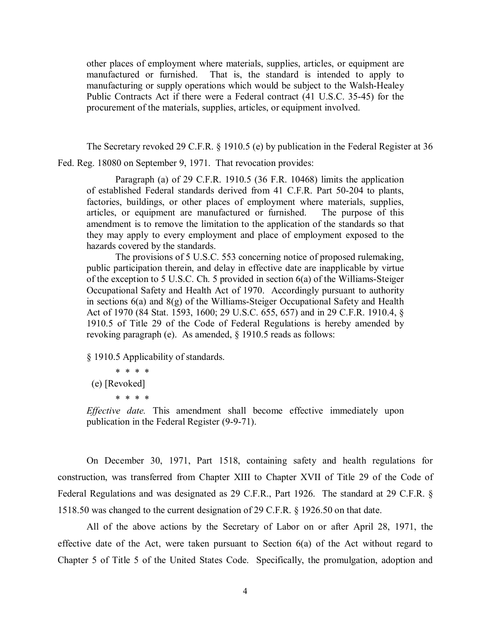manufacturing or supply operations which would be subject to the Walsh-Healey Public Contracts Act if there were a Federal contract (41 U.S.C. 35-45) for the procurement of the materials, supplies, articles, or equipment involved. other places of employment where materials, supplies, articles, or equipment are manufactured or furnished. That is, the standard is intended to apply to

 The Secretary revoked 29 C.F.R. § 1910.5 (e) by publication in the Federal Register at 36 Fed. Reg. 18080 on September 9, 1971. That revocation provides:

 they may apply to every employment and place of employment exposed to the Paragraph (a) of 29 C.F.R. 1910.5 (36 F.R. 10468) limits the application of established Federal standards derived from 41 C.F.R. Part 50-204 to plants, factories, buildings, or other places of employment where materials, supplies, articles, or equipment are manufactured or furnished. The purpose of this amendment is to remove the limitation to the application of the standards so that hazards covered by the standards.

 public participation therein, and delay in effective date are inapplicable by virtue of the exception to 5 U.S.C. Ch. 5 provided in section 6(a) of the Williams-Steiger The provisions of 5 U.S.C. 553 concerning notice of proposed rulemaking, Occupational Safety and Health Act of 1970. Accordingly pursuant to authority in sections 6(a) and 8(g) of the Williams-Steiger Occupational Safety and Health Act of 1970 (84 Stat. 1593, 1600; 29 U.S.C. 655, 657) and in 29 C.F.R. 1910.4, § 1910.5 of Title 29 of the Code of Federal Regulations is hereby amended by revoking paragraph (e). As amended, § 1910.5 reads as follows:

§ 1910.5 Applicability of standards.

\* \* \* \* (e) [Revoked] \* \* \* \*

*Effective date.* This amendment shall become effective immediately upon publication in the Federal Register (9-9-71).

 On December 30, 1971, Part 1518, containing safety and health regulations for construction, was transferred from Chapter XIII to Chapter XVII of Title 29 of the Code of Federal Regulations and was designated as 29 C.F.R., Part 1926. The standard at 29 C.F.R. § 1518.50 was changed to the current designation of 29 C.F.R. § 1926.50 on that date.

 All of the above actions by the Secretary of Labor on or after April 28, 1971, the effective date of the Act, were taken pursuant to Section 6(a) of the Act without regard to Chapter 5 of Title 5 of the United States Code. Specifically, the promulgation, adoption and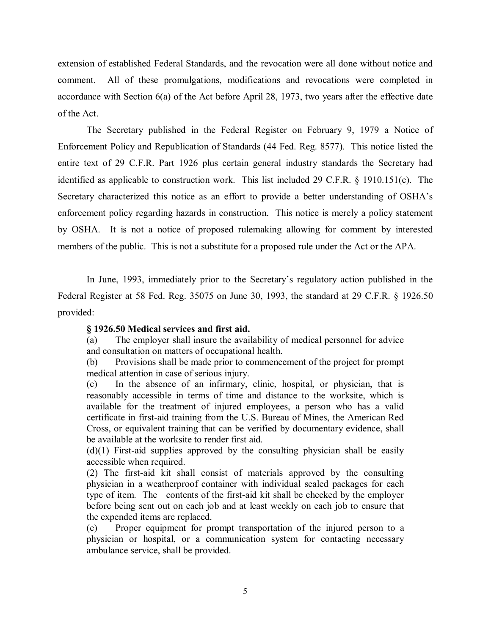extension of established Federal Standards, and the revocation were all done without notice and comment. All of these promulgations, modifications and revocations were completed in accordance with Section 6(a) of the Act before April 28, 1973, two years after the effective date of the Act.

 Enforcement Policy and Republication of Standards (44 Fed. Reg. 8577). This notice listed the identified as applicable to construction work. This list included 29 C.F.R. § 1910.151(c). The enforcement policy regarding hazards in construction. This notice is merely a policy statement members of the public. This is not a substitute for a proposed rule under the Act or the APA. The Secretary published in the Federal Register on February 9, 1979 a Notice of entire text of 29 C.F.R. Part 1926 plus certain general industry standards the Secretary had Secretary characterized this notice as an effort to provide a better understanding of OSHA's by OSHA. It is not a notice of proposed rulemaking allowing for comment by interested

 In June, 1993, immediately prior to the Secretary's regulatory action published in the Federal Register at 58 Fed. Reg. 35075 on June 30, 1993, the standard at 29 C.F.R. § 1926.50 provided:

### **§ 1926.50 Medical services and first aid.**

 (a) The employer shall insure the availability of medical personnel for advice and consultation on matters of occupational health.

 (b) Provisions shall be made prior to commencement of the project for prompt medical attention in case of serious injury.

 reasonably accessible in terms of time and distance to the worksite, which is available for the treatment of injured employees, a person who has a valid Cross, or equivalent training that can be verified by documentary evidence, shall be available at the worksite to render first aid. (c) In the absence of an infirmary, clinic, hospital, or physician, that is certificate in first-aid training from the U.S. Bureau of Mines, the American Red

 (d)(1) First-aid supplies approved by the consulting physician shall be easily accessible when required.

 physician in a weatherproof container with individual sealed packages for each type of item. The contents of the first-aid kit shall be checked by the employer before being sent out on each job and at least weekly on each job to ensure that (2) The first-aid kit shall consist of materials approved by the consulting the expended items are replaced.

(e) Proper equipment for prompt transportation of the injured person to a physician or hospital, or a communication system for contacting necessary ambulance service, shall be provided.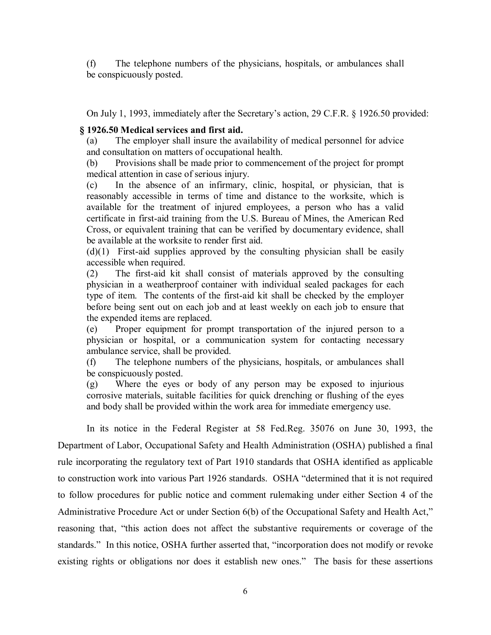(f) The telephone numbers of the physicians, hospitals, or ambulances shall be conspicuously posted.

On July 1, 1993, immediately after the Secretary's action, 29 C.F.R. § 1926.50 provided:

## **§ 1926.50 Medical services and first aid.**

 (a) The employer shall insure the availability of medical personnel for advice and consultation on matters of occupational health.

 (b) Provisions shall be made prior to commencement of the project for prompt medical attention in case of serious injury.

 reasonably accessible in terms of time and distance to the worksite, which is available for the treatment of injured employees, a person who has a valid Cross, or equivalent training that can be verified by documentary evidence, shall (c) In the absence of an infirmary, clinic, hospital, or physician, that is certificate in first-aid training from the U.S. Bureau of Mines, the American Red be available at the worksite to render first aid.

 $(d)(1)$  First-aid supplies approved by the consulting physician shall be easily accessible when required.

 physician in a weatherproof container with individual sealed packages for each type of item. The contents of the first-aid kit shall be checked by the employer before being sent out on each job and at least weekly on each job to ensure that (2) The first-aid kit shall consist of materials approved by the consulting the expended items are replaced.

(e) Proper equipment for prompt transportation of the injured person to a physician or hospital, or a communication system for contacting necessary ambulance service, shall be provided.

(f) The telephone numbers of the physicians, hospitals, or ambulances shall be conspicuously posted.

 (g) Where the eyes or body of any person may be exposed to injurious corrosive materials, suitable facilities for quick drenching or flushing of the eyes and body shall be provided within the work area for immediate emergency use.

 In its notice in the Federal Register at 58 Fed.Reg. 35076 on June 30, 1993, the Department of Labor, Occupational Safety and Health Administration (OSHA) published a final rule incorporating the regulatory text of Part 1910 standards that OSHA identified as applicable to construction work into various Part 1926 standards. OSHA "determined that it is not required Administrative Procedure Act or under Section 6(b) of the Occupational Safety and Health Act," existing rights or obligations nor does it establish new ones." The basis for these assertions to follow procedures for public notice and comment rulemaking under either Section 4 of the reasoning that, "this action does not affect the substantive requirements or coverage of the standards." In this notice, OSHA further asserted that, "incorporation does not modify or revoke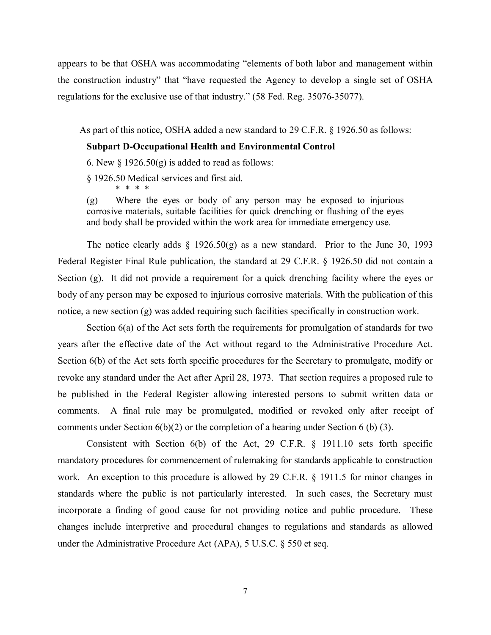the construction industry" that "have requested the Agency to develop a single set of OSHA regulations for the exclusive use of that industry." (58 Fed. Reg. 35076-35077). appears to be that OSHA was accommodating "elements of both labor and management within

As part of this notice, OSHA added a new standard to 29 C.F.R. § 1926.50 as follows:

#### **Subpart D-Occupational Health and Environmental Control**

6. New  $\S 1926.50(g)$  is added to read as follows:

§ 1926.50 Medical services and first aid.

\* \* \* \*

 (g) Where the eyes or body of any person may be exposed to injurious corrosive materials, suitable facilities for quick drenching or flushing of the eyes and body shall be provided within the work area for immediate emergency use.

The notice clearly adds  $\S$  1926.50(g) as a new standard. Prior to the June 30, 1993 Section (g). It did not provide a requirement for a quick drenching facility where the eyes or body of any person may be exposed to injurious corrosive materials. With the publication of this Federal Register Final Rule publication, the standard at 29 C.F.R. § 1926.50 did not contain a notice, a new section (g) was added requiring such facilities specifically in construction work.

 Section 6(a) of the Act sets forth the requirements for promulgation of standards for two years after the effective date of the Act without regard to the Administrative Procedure Act. Section 6(b) of the Act sets forth specific procedures for the Secretary to promulgate, modify or be published in the Federal Register allowing interested persons to submit written data or comments. A final rule may be promulgated, modified or revoked only after receipt of comments under Section  $6(b)(2)$  or the completion of a hearing under Section 6 (b) (3). revoke any standard under the Act after April 28, 1973. That section requires a proposed rule to

 Consistent with Section 6(b) of the Act, 29 C.F.R. § 1911.10 sets forth specific work. An exception to this procedure is allowed by 29 C.F.R. § 1911.5 for minor changes in standards where the public is not particularly interested. In such cases, the Secretary must under the Administrative Procedure Act (APA), 5 U.S.C. § 550 et seq. mandatory procedures for commencement of rulemaking for standards applicable to construction incorporate a finding of good cause for not providing notice and public procedure. These changes include interpretive and procedural changes to regulations and standards as allowed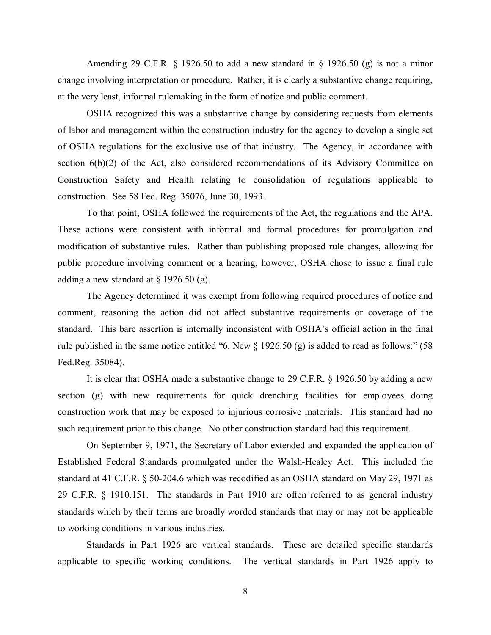Amending 29 C.F.R. § 1926.50 to add a new standard in § 1926.50 (g) is not a minor change involving interpretation or procedure. Rather, it is clearly a substantive change requiring, at the very least, informal rulemaking in the form of notice and public comment.

 of labor and management within the construction industry for the agency to develop a single set OSHA recognized this was a substantive change by considering requests from elements of OSHA regulations for the exclusive use of that industry. The Agency, in accordance with section 6(b)(2) of the Act, also considered recommendations of its Advisory Committee on Construction Safety and Health relating to consolidation of regulations applicable to construction. See 58 Fed. Reg. 35076, June 30, 1993.

 To that point, OSHA followed the requirements of the Act, the regulations and the APA. public procedure involving comment or a hearing, however, OSHA chose to issue a final rule adding a new standard at  $\S$  1926.50 (g). These actions were consistent with informal and formal procedures for promulgation and modification of substantive rules. Rather than publishing proposed rule changes, allowing for

 standard. This bare assertion is internally inconsistent with OSHA's official action in the final The Agency determined it was exempt from following required procedures of notice and comment, reasoning the action did not affect substantive requirements or coverage of the rule published in the same notice entitled "6. New § 1926.50 (g) is added to read as follows:" (58 Fed.Reg. 35084).

 It is clear that OSHA made a substantive change to 29 C.F.R. § 1926.50 by adding a new section (g) with new requirements for quick drenching facilities for employees doing construction work that may be exposed to injurious corrosive materials. This standard had no such requirement prior to this change. No other construction standard had this requirement.

 Established Federal Standards promulgated under the Walsh-Healey Act. This included the 29 C.F.R. § 1910.151. The standards in Part 1910 are often referred to as general industry On September 9, 1971, the Secretary of Labor extended and expanded the application of standard at 41 C.F.R. § 50-204.6 which was recodified as an OSHA standard on May 29, 1971 as standards which by their terms are broadly worded standards that may or may not be applicable to working conditions in various industries.

 Standards in Part 1926 are vertical standards. These are detailed specific standards applicable to specific working conditions. The vertical standards in Part 1926 apply to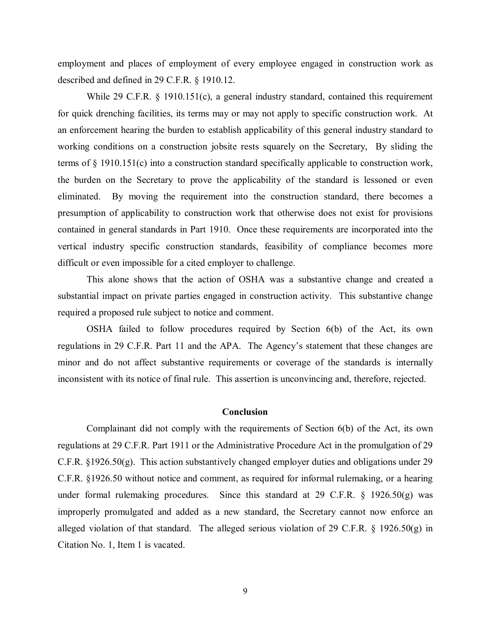described and defined in 29 C.F.R. § 1910.12. employment and places of employment of every employee engaged in construction work as

While 29 C.F.R. § 1910.151(c), a general industry standard, contained this requirement for quick drenching facilities, its terms may or may not apply to specific construction work. At the burden on the Secretary to prove the applicability of the standard is lessoned or even eliminated. By moving the requirement into the construction standard, there becomes a vertical industry specific construction standards, feasibility of compliance becomes more an enforcement hearing the burden to establish applicability of this general industry standard to working conditions on a construction jobsite rests squarely on the Secretary, By sliding the terms of § 1910.151(c) into a construction standard specifically applicable to construction work, presumption of applicability to construction work that otherwise does not exist for provisions contained in general standards in Part 1910. Once these requirements are incorporated into the difficult or even impossible for a cited employer to challenge.

 This alone shows that the action of OSHA was a substantive change and created a substantial impact on private parties engaged in construction activity. This substantive change required a proposed rule subject to notice and comment.

 OSHA failed to follow procedures required by Section 6(b) of the Act, its own minor and do not affect substantive requirements or coverage of the standards is internally inconsistent with its notice of final rule. This assertion is unconvincing and, therefore, rejected. regulations in 29 C.F.R. Part 11 and the APA. The Agency's statement that these changes are

### **Conclusion**

 under formal rulemaking procedures. Since this standard at 29 C.F.R. § 1926.50(g) was alleged violation of that standard. The alleged serious violation of 29 C.F.R. § 1926.50(g) in Citation No. 1, Item 1 is vacated. Complainant did not comply with the requirements of Section 6(b) of the Act, its own regulations at 29 C.F.R. Part 1911 or the Administrative Procedure Act in the promulgation of 29 C.F.R. §1926.50(g). This action substantively changed employer duties and obligations under 29 C.F.R. §1926.50 without notice and comment, as required for informal rulemaking, or a hearing improperly promulgated and added as a new standard, the Secretary cannot now enforce an